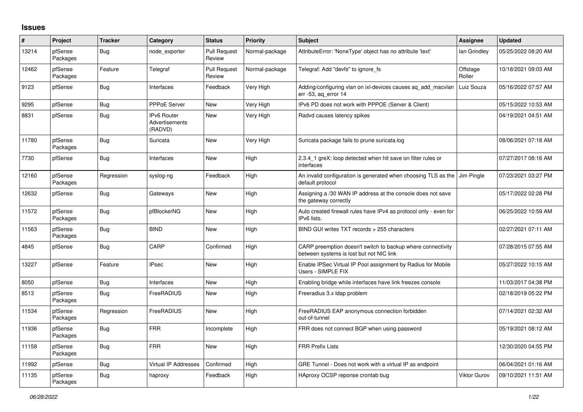## **Issues**

| #     | Project             | <b>Tracker</b> | Category                                        | <b>Status</b>                 | <b>Priority</b> | <b>Subject</b>                                                                                          | Assignee           | <b>Updated</b>      |
|-------|---------------------|----------------|-------------------------------------------------|-------------------------------|-----------------|---------------------------------------------------------------------------------------------------------|--------------------|---------------------|
| 13214 | pfSense<br>Packages | Bug            | node exporter                                   | <b>Pull Request</b><br>Review | Normal-package  | AttributeError: 'NoneType' object has no attribute 'text'                                               | lan Grindley       | 05/25/2022 08:20 AM |
| 12462 | pfSense<br>Packages | Feature        | Telegraf                                        | <b>Pull Request</b><br>Review | Normal-package  | Telegraf: Add "devfs" to ignore fs                                                                      | Offstage<br>Roller | 10/18/2021 09:03 AM |
| 9123  | pfSense             | <b>Bug</b>     | Interfaces                                      | Feedback                      | Very High       | Adding/configuring vlan on ixl-devices causes ag add macvlan<br>err -53, ag error 14                    | Luiz Souza         | 05/16/2022 07:57 AM |
| 9295  | pfSense             | <b>Bug</b>     | PPPoE Server                                    | New                           | Very High       | IPv6 PD does not work with PPPOE (Server & Client)                                                      |                    | 05/15/2022 10:53 AM |
| 8831  | pfSense             | <b>Bug</b>     | <b>IPv6 Router</b><br>Advertisements<br>(RADVD) | New                           | Very High       | Radvd causes latency spikes                                                                             |                    | 04/19/2021 04:51 AM |
| 11780 | pfSense<br>Packages | <b>Bug</b>     | Suricata                                        | New                           | Very High       | Suricata package fails to prune suricata.log                                                            |                    | 08/06/2021 07:18 AM |
| 7730  | pfSense             | <b>Bug</b>     | Interfaces                                      | New                           | High            | 2.3.4 1 greX: loop detected when hit save on filter rules or<br>interfaces                              |                    | 07/27/2017 08:16 AM |
| 12160 | pfSense<br>Packages | Regression     | syslog-ng                                       | Feedback                      | High            | An invalid configuration is generated when choosing TLS as the J Jim Pingle<br>default protocol         |                    | 07/23/2021 03:27 PM |
| 12632 | pfSense             | <b>Bug</b>     | Gateways                                        | <b>New</b>                    | High            | Assigning a /30 WAN IP address at the console does not save<br>the gateway correctly                    |                    | 05/17/2022 02:28 PM |
| 11572 | pfSense<br>Packages | <b>Bug</b>     | pfBlockerNG                                     | New                           | High            | Auto created firewall rules have IPv4 as protocol only - even for<br>IPv6 lists.                        |                    | 06/25/2022 10:59 AM |
| 11563 | pfSense<br>Packages | <b>Bug</b>     | <b>BIND</b>                                     | <b>New</b>                    | High            | BIND GUI writes TXT records > 255 characters                                                            |                    | 02/27/2021 07:11 AM |
| 4845  | pfSense             | Bug            | CARP                                            | Confirmed                     | High            | CARP preemption doesn't switch to backup where connectivity<br>between systems is lost but not NIC link |                    | 07/28/2015 07:55 AM |
| 13227 | pfSense             | Feature        | <b>IPsec</b>                                    | <b>New</b>                    | High            | Enable IPSec Virtual IP Pool assignment by Radius for Mobile<br>Users - SIMPLE FIX                      |                    | 05/27/2022 10:15 AM |
| 8050  | pfSense             | <b>Bug</b>     | Interfaces                                      | <b>New</b>                    | High            | Enabling bridge while interfaces have link freezes console                                              |                    | 11/03/2017 04:38 PM |
| 8513  | pfSense<br>Packages | Bug            | FreeRADIUS                                      | New                           | High            | Freeradius 3.x Idap problem                                                                             |                    | 02/18/2019 05:22 PM |
| 11534 | pfSense<br>Packages | Regression     | FreeRADIUS                                      | <b>New</b>                    | High            | FreeRADIUS EAP anonymous connection forbidden<br>out-of-tunnel                                          |                    | 07/14/2021 02:32 AM |
| 11936 | pfSense<br>Packages | <b>Bug</b>     | <b>FRR</b>                                      | Incomplete                    | High            | FRR does not connect BGP when using password                                                            |                    | 05/19/2021 08:12 AM |
| 11158 | pfSense<br>Packages | <b>Bug</b>     | <b>FRR</b>                                      | New                           | High            | <b>FRR Prefix Lists</b>                                                                                 |                    | 12/30/2020 04:55 PM |
| 11992 | pfSense             | <b>Bug</b>     | Virtual IP Addresses                            | Confirmed                     | High            | GRE Tunnel - Does not work with a virtual IP as endpoint                                                |                    | 06/04/2021 01:16 AM |
| 11135 | pfSense<br>Packages | <b>Bug</b>     | haproxy                                         | Feedback                      | High            | HAproxy OCSP reponse crontab bug                                                                        | Viktor Gurov       | 09/10/2021 11:51 AM |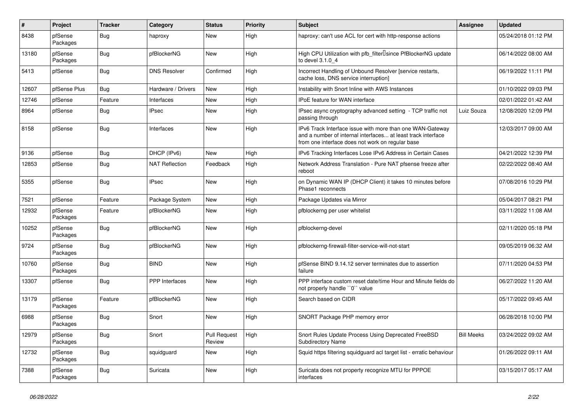| $\vert$ # | Project             | <b>Tracker</b> | Category              | <b>Status</b>                 | <b>Priority</b> | <b>Subject</b>                                                                                                                                                                | <b>Assignee</b>   | <b>Updated</b>      |
|-----------|---------------------|----------------|-----------------------|-------------------------------|-----------------|-------------------------------------------------------------------------------------------------------------------------------------------------------------------------------|-------------------|---------------------|
| 8438      | pfSense<br>Packages | Bug            | haproxy               | New                           | High            | haproxy: can't use ACL for cert with http-response actions                                                                                                                    |                   | 05/24/2018 01:12 PM |
| 13180     | pfSense<br>Packages | Bug            | pfBlockerNG           | <b>New</b>                    | High            | High CPU Utilization with pfb_filter <sup>[]</sup> since PfBlockerNG update<br>to devel 3.1.0 4                                                                               |                   | 06/14/2022 08:00 AM |
| 5413      | pfSense             | Bug            | <b>DNS Resolver</b>   | Confirmed                     | High            | Incorrect Handling of Unbound Resolver [service restarts,<br>cache loss, DNS service interruption]                                                                            |                   | 06/19/2022 11:11 PM |
| 12607     | pfSense Plus        | Bug            | Hardware / Drivers    | <b>New</b>                    | High            | Instability with Snort Inline with AWS Instances                                                                                                                              |                   | 01/10/2022 09:03 PM |
| 12746     | pfSense             | Feature        | Interfaces            | <b>New</b>                    | High            | IPoE feature for WAN interface                                                                                                                                                |                   | 02/01/2022 01:42 AM |
| 8964      | pfSense             | <b>Bug</b>     | <b>IPsec</b>          | <b>New</b>                    | High            | IPsec async cryptography advanced setting - TCP traffic not<br>passing through                                                                                                | Luiz Souza        | 12/08/2020 12:09 PM |
| 8158      | pfSense             | <b>Bug</b>     | Interfaces            | <b>New</b>                    | High            | IPv6 Track Interface issue with more than one WAN-Gateway<br>and a number of internal interfaces at least track interface<br>from one interface does not work on regular base |                   | 12/03/2017 09:00 AM |
| 9136      | pfSense             | Bug            | DHCP (IPv6)           | New                           | High            | IPv6 Tracking Interfaces Lose IPv6 Address in Certain Cases                                                                                                                   |                   | 04/21/2022 12:39 PM |
| 12853     | pfSense             | <b>Bug</b>     | <b>NAT Reflection</b> | Feedback                      | High            | Network Address Translation - Pure NAT pfsense freeze after<br>reboot                                                                                                         |                   | 02/22/2022 08:40 AM |
| 5355      | pfSense             | Bug            | <b>IPsec</b>          | <b>New</b>                    | High            | on Dynamic WAN IP (DHCP Client) it takes 10 minutes before<br>Phase1 reconnects                                                                                               |                   | 07/08/2016 10:29 PM |
| 7521      | pfSense             | Feature        | Package System        | <b>New</b>                    | High            | Package Updates via Mirror                                                                                                                                                    |                   | 05/04/2017 08:21 PM |
| 12932     | pfSense<br>Packages | Feature        | pfBlockerNG           | <b>New</b>                    | High            | pfblockerng per user whitelist                                                                                                                                                |                   | 03/11/2022 11:08 AM |
| 10252     | pfSense<br>Packages | <b>Bug</b>     | pfBlockerNG           | New                           | High            | pfblockerng-devel                                                                                                                                                             |                   | 02/11/2020 05:18 PM |
| 9724      | pfSense<br>Packages | Bug            | pfBlockerNG           | <b>New</b>                    | High            | pfblockerng-firewall-filter-service-will-not-start                                                                                                                            |                   | 09/05/2019 06:32 AM |
| 10760     | pfSense<br>Packages | Bug            | <b>BIND</b>           | <b>New</b>                    | High            | pfSense BIND 9.14.12 server terminates due to assertion<br>failure                                                                                                            |                   | 07/11/2020 04:53 PM |
| 13307     | pfSense             | <b>Bug</b>     | <b>PPP</b> Interfaces | New                           | High            | PPP interface custom reset date/time Hour and Minute fields do<br>not properly handle "0" value                                                                               |                   | 06/27/2022 11:20 AM |
| 13179     | pfSense<br>Packages | Feature        | pfBlockerNG           | <b>New</b>                    | High            | Search based on CIDR                                                                                                                                                          |                   | 05/17/2022 09:45 AM |
| 6988      | pfSense<br>Packages | Bug            | Snort                 | <b>New</b>                    | High            | SNORT Package PHP memory error                                                                                                                                                |                   | 06/28/2018 10:00 PM |
| 12979     | pfSense<br>Packages | Bug            | Snort                 | <b>Pull Request</b><br>Review | High            | Snort Rules Update Process Using Deprecated FreeBSD<br><b>Subdirectory Name</b>                                                                                               | <b>Bill Meeks</b> | 03/24/2022 09:02 AM |
| 12732     | pfSense<br>Packages | <b>Bug</b>     | squidguard            | New                           | High            | Squid https filtering squidguard acl target list - erratic behaviour                                                                                                          |                   | 01/26/2022 09:11 AM |
| 7388      | pfSense<br>Packages | <b>Bug</b>     | Suricata              | New                           | High            | Suricata does not property recognize MTU for PPPOE<br>interfaces                                                                                                              |                   | 03/15/2017 05:17 AM |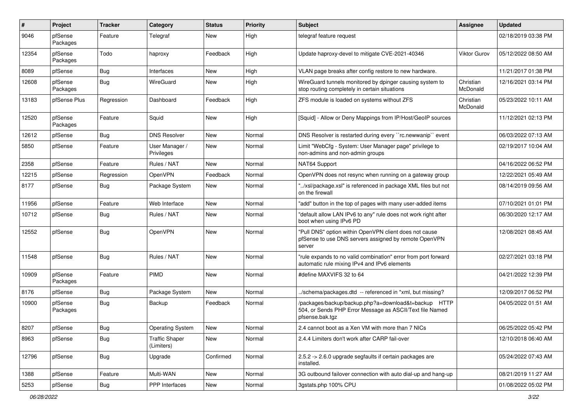| $\vert$ # | Project             | <b>Tracker</b> | Category                            | <b>Status</b> | <b>Priority</b> | <b>Subject</b>                                                                                                                      | <b>Assignee</b>       | <b>Updated</b>      |
|-----------|---------------------|----------------|-------------------------------------|---------------|-----------------|-------------------------------------------------------------------------------------------------------------------------------------|-----------------------|---------------------|
| 9046      | pfSense<br>Packages | Feature        | Telegraf                            | New           | High            | telegraf feature request                                                                                                            |                       | 02/18/2019 03:38 PM |
| 12354     | pfSense<br>Packages | Todo           | haproxy                             | Feedback      | High            | Update haproxy-devel to mitigate CVE-2021-40346                                                                                     | Viktor Gurov          | 05/12/2022 08:50 AM |
| 8089      | pfSense             | Bug            | Interfaces                          | <b>New</b>    | High            | VLAN page breaks after config restore to new hardware.                                                                              |                       | 11/21/2017 01:38 PM |
| 12608     | pfSense<br>Packages | <b>Bug</b>     | WireGuard                           | New           | High            | WireGuard tunnels monitored by dpinger causing system to<br>stop routing completely in certain situations                           | Christian<br>McDonald | 12/16/2021 03:14 PM |
| 13183     | pfSense Plus        | Regression     | Dashboard                           | Feedback      | High            | ZFS module is loaded on systems without ZFS                                                                                         | Christian<br>McDonald | 05/23/2022 10:11 AM |
| 12520     | pfSense<br>Packages | Feature        | Squid                               | New           | High            | [Squid] - Allow or Deny Mappings from IP/Host/GeoIP sources                                                                         |                       | 11/12/2021 02:13 PM |
| 12612     | pfSense             | Bug            | <b>DNS Resolver</b>                 | <b>New</b>    | Normal          | DNS Resolver is restarted during every "rc.newwanip" event                                                                          |                       | 06/03/2022 07:13 AM |
| 5850      | pfSense             | Feature        | User Manager /<br>Privileges        | New           | Normal          | Limit "WebCfg - System: User Manager page" privilege to<br>non-admins and non-admin groups                                          |                       | 02/19/2017 10:04 AM |
| 2358      | pfSense             | Feature        | Rules / NAT                         | <b>New</b>    | Normal          | NAT64 Support                                                                                                                       |                       | 04/16/2022 06:52 PM |
| 12215     | pfSense             | Regression     | OpenVPN                             | Feedback      | Normal          | OpenVPN does not resync when running on a gateway group                                                                             |                       | 12/22/2021 05:49 AM |
| 8177      | pfSense             | <b>Bug</b>     | Package System                      | New           | Normal          | "/xsl/package.xsl" is referenced in package XML files but not<br>on the firewall                                                    |                       | 08/14/2019 09:56 AM |
| 11956     | pfSense             | Feature        | Web Interface                       | New           | Normal          | "add" button in the top of pages with many user-added items                                                                         |                       | 07/10/2021 01:01 PM |
| 10712     | pfSense             | <b>Bug</b>     | Rules / NAT                         | New           | Normal          | "default allow LAN IPv6 to any" rule does not work right after<br>boot when using IPv6 PD                                           |                       | 06/30/2020 12:17 AM |
| 12552     | pfSense             | <b>Bug</b>     | OpenVPN                             | <b>New</b>    | Normal          | "Pull DNS" option within OpenVPN client does not cause<br>pfSense to use DNS servers assigned by remote OpenVPN<br>server           |                       | 12/08/2021 08:45 AM |
| 11548     | pfSense             | <b>Bug</b>     | Rules / NAT                         | New           | Normal          | "rule expands to no valid combination" error from port forward<br>automatic rule mixing IPv4 and IPv6 elements                      |                       | 02/27/2021 03:18 PM |
| 10909     | pfSense<br>Packages | Feature        | PIMD                                | <b>New</b>    | Normal          | #define MAXVIFS 32 to 64                                                                                                            |                       | 04/21/2022 12:39 PM |
| 8176      | pfSense             | <b>Bug</b>     | Package System                      | <b>New</b>    | Normal          | ./schema/packages.dtd -- referenced in *xml, but missing?                                                                           |                       | 12/09/2017 06:52 PM |
| 10900     | pfSense<br>Packages | <b>Bug</b>     | Backup                              | Feedback      | Normal          | /packages/backup/backup.php?a=download&t=backup HTTP<br>504, or Sends PHP Error Message as ASCII/Text file Named<br>pfsense.bak.tgz |                       | 04/05/2022 01:51 AM |
| 8207      | pfSense             | Bug            | <b>Operating System</b>             | New           | Normal          | 2.4 cannot boot as a Xen VM with more than 7 NICs                                                                                   |                       | 06/25/2022 05:42 PM |
| 8963      | pfSense             | <b>Bug</b>     | <b>Traffic Shaper</b><br>(Limiters) | New           | Normal          | 2.4.4 Limiters don't work after CARP fail-over                                                                                      |                       | 12/10/2018 06:40 AM |
| 12796     | pfSense             | <b>Bug</b>     | Upgrade                             | Confirmed     | Normal          | 2.5.2 -> 2.6.0 upgrade segfaults if certain packages are<br>installed.                                                              |                       | 05/24/2022 07:43 AM |
| 1388      | pfSense             | Feature        | Multi-WAN                           | New           | Normal          | 3G outbound failover connection with auto dial-up and hang-up                                                                       |                       | 08/21/2019 11:27 AM |
| 5253      | pfSense             | Bug            | PPP Interfaces                      | New           | Normal          | 3gstats.php 100% CPU                                                                                                                |                       | 01/08/2022 05:02 PM |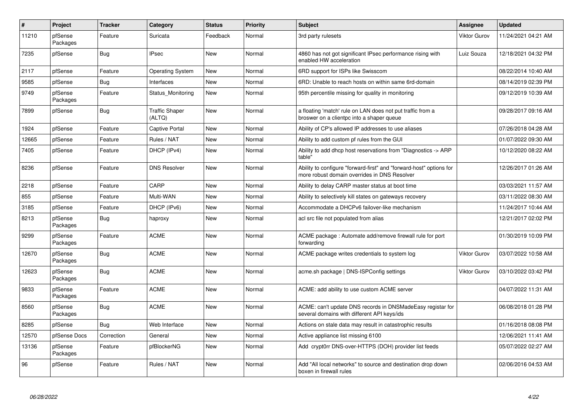| $\vert$ # | Project             | <b>Tracker</b> | Category                        | <b>Status</b> | <b>Priority</b> | <b>Subject</b>                                                                                                      | Assignee     | Updated             |
|-----------|---------------------|----------------|---------------------------------|---------------|-----------------|---------------------------------------------------------------------------------------------------------------------|--------------|---------------------|
| 11210     | pfSense<br>Packages | Feature        | Suricata                        | Feedback      | Normal          | 3rd party rulesets                                                                                                  | Viktor Gurov | 11/24/2021 04:21 AM |
| 7235      | pfSense             | Bug            | <b>IPsec</b>                    | New           | Normal          | 4860 has not got significant IPsec performance rising with<br>enabled HW acceleration                               | Luiz Souza   | 12/18/2021 04:32 PM |
| 2117      | pfSense             | Feature        | <b>Operating System</b>         | New           | Normal          | 6RD support for ISPs like Swisscom                                                                                  |              | 08/22/2014 10:40 AM |
| 9585      | pfSense             | <b>Bug</b>     | Interfaces                      | New           | Normal          | 6RD: Unable to reach hosts on within same 6rd-domain                                                                |              | 08/14/2019 02:39 PM |
| 9749      | pfSense<br>Packages | Feature        | Status Monitoring               | New           | Normal          | 95th percentile missing for quality in monitoring                                                                   |              | 09/12/2019 10:39 AM |
| 7899      | pfSense             | <b>Bug</b>     | <b>Traffic Shaper</b><br>(ALTQ) | New           | Normal          | a floating 'match' rule on LAN does not put traffic from a<br>broswer on a clientpc into a shaper queue             |              | 09/28/2017 09:16 AM |
| 1924      | pfSense             | Feature        | Captive Portal                  | New           | Normal          | Ability of CP's allowed IP addresses to use aliases                                                                 |              | 07/26/2018 04:28 AM |
| 12665     | pfSense             | Feature        | Rules / NAT                     | New           | Normal          | Ability to add custom pf rules from the GUI                                                                         |              | 01/07/2022 09:30 AM |
| 7405      | pfSense             | Feature        | DHCP (IPv4)                     | New           | Normal          | Ability to add dhcp host reservations from "Diagnostics -> ARP<br>table"                                            |              | 10/12/2020 08:22 AM |
| 8236      | pfSense             | Feature        | <b>DNS Resolver</b>             | New           | Normal          | Ability to configure "forward-first" and "forward-host" options for<br>more robust domain overrides in DNS Resolver |              | 12/26/2017 01:26 AM |
| 2218      | pfSense             | Feature        | CARP                            | New           | Normal          | Ability to delay CARP master status at boot time                                                                    |              | 03/03/2021 11:57 AM |
| 855       | pfSense             | Feature        | Multi-WAN                       | New           | Normal          | Ability to selectively kill states on gateways recovery                                                             |              | 03/11/2022 08:30 AM |
| 3185      | pfSense             | Feature        | DHCP (IPv6)                     | New           | Normal          | Accommodate a DHCPv6 failover-like mechanism                                                                        |              | 11/24/2017 10:44 AM |
| 8213      | pfSense<br>Packages | <b>Bug</b>     | haproxy                         | New           | Normal          | acl src file not populated from alias                                                                               |              | 12/21/2017 02:02 PM |
| 9299      | pfSense<br>Packages | Feature        | <b>ACME</b>                     | New           | Normal          | ACME package: Automate add/remove firewall rule for port<br>forwarding                                              |              | 01/30/2019 10:09 PM |
| 12670     | pfSense<br>Packages | <b>Bug</b>     | <b>ACME</b>                     | New           | Normal          | ACME package writes credentials to system log                                                                       | Viktor Gurov | 03/07/2022 10:58 AM |
| 12623     | pfSense<br>Packages | <b>Bug</b>     | <b>ACME</b>                     | New           | Normal          | acme.sh package   DNS-ISPConfig settings                                                                            | Viktor Gurov | 03/10/2022 03:42 PM |
| 9833      | pfSense<br>Packages | Feature        | <b>ACME</b>                     | <b>New</b>    | Normal          | ACME: add ability to use custom ACME server                                                                         |              | 04/07/2022 11:31 AM |
| 8560      | pfSense<br>Packages | Bug            | <b>ACME</b>                     | New           | Normal          | ACME: can't update DNS records in DNSMadeEasy registar for<br>several domains with different API keys/ids           |              | 06/08/2018 01:28 PM |
| 8285      | pfSense             | Bug            | Web Interface                   | New           | Normal          | Actions on stale data may result in catastrophic results                                                            |              | 01/16/2018 08:08 PM |
| 12570     | pfSense Docs        | Correction     | General                         | New           | Normal          | Active appliance list missing 6100                                                                                  |              | 12/06/2021 11:41 AM |
| 13136     | pfSense<br>Packages | Feature        | pfBlockerNG                     | New           | Normal          | Add crypt0rr DNS-over-HTTPS (DOH) provider list feeds                                                               |              | 05/07/2022 02:27 AM |
| 96        | pfSense             | Feature        | Rules / NAT                     | <b>New</b>    | Normal          | Add "All local networks" to source and destination drop down<br>boxen in firewall rules                             |              | 02/06/2016 04:53 AM |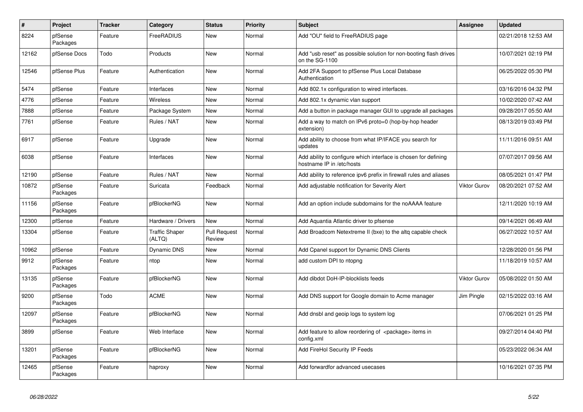| $\vert$ # | Project             | <b>Tracker</b> | Category                        | <b>Status</b>                 | <b>Priority</b> | <b>Subject</b>                                                                               | <b>Assignee</b> | <b>Updated</b>      |
|-----------|---------------------|----------------|---------------------------------|-------------------------------|-----------------|----------------------------------------------------------------------------------------------|-----------------|---------------------|
| 8224      | pfSense<br>Packages | Feature        | FreeRADIUS                      | New                           | Normal          | Add "OU" field to FreeRADIUS page                                                            |                 | 02/21/2018 12:53 AM |
| 12162     | pfSense Docs        | Todo           | Products                        | New                           | Normal          | Add "usb reset" as possible solution for non-booting flash drives<br>on the SG-1100          |                 | 10/07/2021 02:19 PM |
| 12546     | pfSense Plus        | Feature        | Authentication                  | <b>New</b>                    | Normal          | Add 2FA Support to pfSense Plus Local Database<br>Authentication                             |                 | 06/25/2022 05:30 PM |
| 5474      | pfSense             | Feature        | Interfaces                      | <b>New</b>                    | Normal          | Add 802.1x configuration to wired interfaces.                                                |                 | 03/16/2016 04:32 PM |
| 4776      | pfSense             | Feature        | <b>Wireless</b>                 | <b>New</b>                    | Normal          | Add 802.1x dynamic vlan support                                                              |                 | 10/02/2020 07:42 AM |
| 7888      | pfSense             | Feature        | Package System                  | <b>New</b>                    | Normal          | Add a button in package manager GUI to upgrade all packages                                  |                 | 09/28/2017 05:50 AM |
| 7761      | pfSense             | Feature        | Rules / NAT                     | <b>New</b>                    | Normal          | Add a way to match on IPv6 proto=0 (hop-by-hop header<br>extension)                          |                 | 08/13/2019 03:49 PM |
| 6917      | pfSense             | Feature        | Upgrade                         | <b>New</b>                    | Normal          | Add ability to choose from what IP/IFACE you search for<br>updates                           |                 | 11/11/2016 09:51 AM |
| 6038      | pfSense             | Feature        | Interfaces                      | <b>New</b>                    | Normal          | Add ability to configure which interface is chosen for defining<br>hostname IP in /etc/hosts |                 | 07/07/2017 09:56 AM |
| 12190     | pfSense             | Feature        | Rules / NAT                     | <b>New</b>                    | Normal          | Add ability to reference ipv6 prefix in firewall rules and aliases                           |                 | 08/05/2021 01:47 PM |
| 10872     | pfSense<br>Packages | Feature        | Suricata                        | Feedback                      | Normal          | Add adjustable notification for Severity Alert                                               | Viktor Gurov    | 08/20/2021 07:52 AM |
| 11156     | pfSense<br>Packages | Feature        | pfBlockerNG                     | <b>New</b>                    | Normal          | Add an option include subdomains for the noAAAA feature                                      |                 | 12/11/2020 10:19 AM |
| 12300     | pfSense             | Feature        | Hardware / Drivers              | <b>New</b>                    | Normal          | Add Aquantia Atlantic driver to pfsense                                                      |                 | 09/14/2021 06:49 AM |
| 13304     | pfSense             | Feature        | <b>Traffic Shaper</b><br>(ALTQ) | <b>Pull Request</b><br>Review | Normal          | Add Broadcom Netextreme II (bxe) to the altq capable check                                   |                 | 06/27/2022 10:57 AM |
| 10962     | pfSense             | Feature        | <b>Dynamic DNS</b>              | New                           | Normal          | Add Cpanel support for Dynamic DNS Clients                                                   |                 | 12/28/2020 01:56 PM |
| 9912      | pfSense<br>Packages | Feature        | ntop                            | New                           | Normal          | add custom DPI to ntopng                                                                     |                 | 11/18/2019 10:57 AM |
| 13135     | pfSense<br>Packages | Feature        | pfBlockerNG                     | <b>New</b>                    | Normal          | Add dibdot DoH-IP-blocklists feeds                                                           | Viktor Gurov    | 05/08/2022 01:50 AM |
| 9200      | pfSense<br>Packages | Todo           | <b>ACME</b>                     | <b>New</b>                    | Normal          | Add DNS support for Google domain to Acme manager                                            | Jim Pingle      | 02/15/2022 03:16 AM |
| 12097     | pfSense<br>Packages | Feature        | pfBlockerNG                     | <b>New</b>                    | Normal          | Add dnsbl and geoip logs to system log                                                       |                 | 07/06/2021 01:25 PM |
| 3899      | pfSense             | Feature        | Web Interface                   | <b>New</b>                    | Normal          | Add feature to allow reordering of <package> items in<br/>config.xml</package>               |                 | 09/27/2014 04:40 PM |
| 13201     | pfSense<br>Packages | Feature        | pfBlockerNG                     | New                           | Normal          | Add FireHol Security IP Feeds                                                                |                 | 05/23/2022 06:34 AM |
| 12465     | pfSense<br>Packages | Feature        | haproxy                         | <b>New</b>                    | Normal          | Add forwardfor advanced usecases                                                             |                 | 10/16/2021 07:35 PM |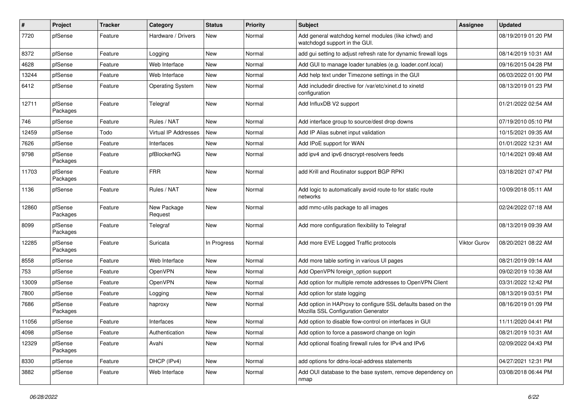| $\#$  | Project             | <b>Tracker</b> | Category                    | <b>Status</b> | <b>Priority</b> | Subject                                                                                             | <b>Assignee</b>     | <b>Updated</b>      |
|-------|---------------------|----------------|-----------------------------|---------------|-----------------|-----------------------------------------------------------------------------------------------------|---------------------|---------------------|
| 7720  | pfSense             | Feature        | Hardware / Drivers          | New           | Normal          | Add general watchdog kernel modules (like ichwd) and<br>watchdogd support in the GUI.               |                     | 08/19/2019 01:20 PM |
| 8372  | pfSense             | Feature        | Logging                     | New           | Normal          | add gui setting to adjust refresh rate for dynamic firewall logs                                    |                     | 08/14/2019 10:31 AM |
| 4628  | pfSense             | Feature        | Web Interface               | New           | Normal          | Add GUI to manage loader tunables (e.g. loader.conf.local)                                          |                     | 09/16/2015 04:28 PM |
| 13244 | pfSense             | Feature        | Web Interface               | <b>New</b>    | Normal          | Add help text under Timezone settings in the GUI                                                    |                     | 06/03/2022 01:00 PM |
| 6412  | pfSense             | Feature        | <b>Operating System</b>     | New           | Normal          | Add includedir directive for /var/etc/xinet.d to xinetd<br>configuration                            |                     | 08/13/2019 01:23 PM |
| 12711 | pfSense<br>Packages | Feature        | Telegraf                    | <b>New</b>    | Normal          | Add InfluxDB V2 support                                                                             |                     | 01/21/2022 02:54 AM |
| 746   | pfSense             | Feature        | Rules / NAT                 | <b>New</b>    | Normal          | Add interface group to source/dest drop downs                                                       |                     | 07/19/2010 05:10 PM |
| 12459 | pfSense             | Todo           | <b>Virtual IP Addresses</b> | New           | Normal          | Add IP Alias subnet input validation                                                                |                     | 10/15/2021 09:35 AM |
| 7626  | pfSense             | Feature        | Interfaces                  | New           | Normal          | Add IPoE support for WAN                                                                            |                     | 01/01/2022 12:31 AM |
| 9798  | pfSense<br>Packages | Feature        | pfBlockerNG                 | <b>New</b>    | Normal          | add ipv4 and ipv6 dnscrypt-resolvers feeds                                                          |                     | 10/14/2021 09:48 AM |
| 11703 | pfSense<br>Packages | Feature        | <b>FRR</b>                  | New           | Normal          | add Krill and Routinator support BGP RPKI                                                           |                     | 03/18/2021 07:47 PM |
| 1136  | pfSense             | Feature        | Rules / NAT                 | New           | Normal          | Add logic to automatically avoid route-to for static route<br>networks                              |                     | 10/09/2018 05:11 AM |
| 12860 | pfSense<br>Packages | Feature        | New Package<br>Request      | New           | Normal          | add mmc-utils package to all images                                                                 |                     | 02/24/2022 07:18 AM |
| 8099  | pfSense<br>Packages | Feature        | Telegraf                    | <b>New</b>    | Normal          | Add more configuration flexibility to Telegraf                                                      |                     | 08/13/2019 09:39 AM |
| 12285 | pfSense<br>Packages | Feature        | Suricata                    | In Progress   | Normal          | Add more EVE Logged Traffic protocols                                                               | <b>Viktor Gurov</b> | 08/20/2021 08:22 AM |
| 8558  | pfSense             | Feature        | Web Interface               | New           | Normal          | Add more table sorting in various UI pages                                                          |                     | 08/21/2019 09:14 AM |
| 753   | pfSense             | Feature        | OpenVPN                     | New           | Normal          | Add OpenVPN foreign option support                                                                  |                     | 09/02/2019 10:38 AM |
| 13009 | pfSense             | Feature        | OpenVPN                     | <b>New</b>    | Normal          | Add option for multiple remote addresses to OpenVPN Client                                          |                     | 03/31/2022 12:42 PM |
| 7800  | pfSense             | Feature        | Logging                     | <b>New</b>    | Normal          | Add option for state logging                                                                        |                     | 08/13/2019 03:51 PM |
| 7686  | pfSense<br>Packages | Feature        | haproxy                     | New           | Normal          | Add option in HAProxy to configure SSL defaults based on the<br>Mozilla SSL Configuration Generator |                     | 08/16/2019 01:09 PM |
| 11056 | pfSense             | Feature        | Interfaces                  | <b>New</b>    | Normal          | Add option to disable flow-control on interfaces in GUI                                             |                     | 11/11/2020 04:41 PM |
| 4098  | pfSense             | Feature        | Authentication              | New           | Normal          | Add option to force a password change on login                                                      |                     | 08/21/2019 10:31 AM |
| 12329 | pfSense<br>Packages | Feature        | Avahi                       | New           | Normal          | Add optional floating firewall rules for IPv4 and IPv6                                              |                     | 02/09/2022 04:43 PM |
| 8330  | pfSense             | Feature        | DHCP (IPv4)                 | New           | Normal          | add options for ddns-local-address statements                                                       |                     | 04/27/2021 12:31 PM |
| 3882  | pfSense             | Feature        | Web Interface               | New           | Normal          | Add OUI database to the base system, remove dependency on<br>nmap                                   |                     | 03/08/2018 06:44 PM |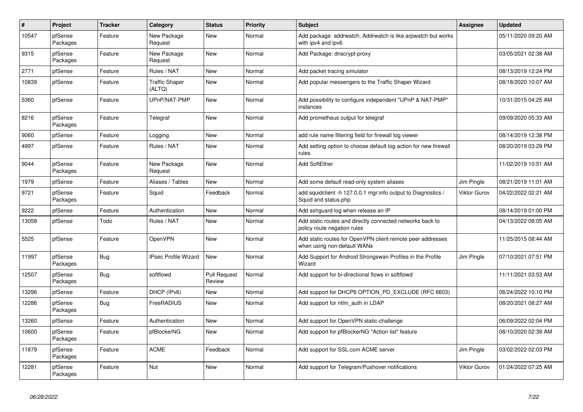| $\sharp$ | Project             | <b>Tracker</b> | Category                        | <b>Status</b>                 | <b>Priority</b> | <b>Subject</b>                                                                            | <b>Assignee</b>     | <b>Updated</b>      |
|----------|---------------------|----------------|---------------------------------|-------------------------------|-----------------|-------------------------------------------------------------------------------------------|---------------------|---------------------|
| 10547    | pfSense<br>Packages | Feature        | New Package<br>Request          | New                           | Normal          | Add package addrwatch. Addrwatch is like arpwatch but works<br>with ipv4 and ipv6         |                     | 05/11/2020 09:20 AM |
| 9315     | pfSense<br>Packages | Feature        | New Package<br>Request          | New                           | Normal          | Add Package: dnscrypt-proxy                                                               |                     | 03/05/2021 02:38 AM |
| 2771     | pfSense             | Feature        | Rules / NAT                     | <b>New</b>                    | Normal          | Add packet tracing simulator                                                              |                     | 08/13/2019 12:24 PM |
| 10839    | pfSense             | Feature        | <b>Traffic Shaper</b><br>(ALTQ) | New                           | Normal          | Add popular messengers to the Traffic Shaper Wizard                                       |                     | 08/18/2020 10:07 AM |
| 5360     | pfSense             | Feature        | UPnP/NAT-PMP                    | <b>New</b>                    | Normal          | Add possibility to configure independent "UPnP & NAT-PMP"<br>instances                    |                     | 10/31/2015 04:25 AM |
| 8216     | pfSense<br>Packages | Feature        | Telegraf                        | <b>New</b>                    | Normal          | Add prometheus output for telegraf                                                        |                     | 09/09/2020 05:33 AM |
| 9060     | pfSense             | Feature        | Logging                         | New                           | Normal          | add rule name filtering field for firewall log viewer                                     |                     | 08/14/2019 12:38 PM |
| 4997     | pfSense             | Feature        | Rules / NAT                     | New                           | Normal          | Add setting option to choose default log action for new firewall<br>rules                 |                     | 08/20/2019 03:29 PM |
| 9044     | pfSense<br>Packages | Feature        | New Package<br>Request          | <b>New</b>                    | Normal          | <b>Add SoftEther</b>                                                                      |                     | 11/02/2019 10:51 AM |
| 1979     | pfSense             | Feature        | Aliases / Tables                | <b>New</b>                    | Normal          | Add some default read-only system aliases                                                 | Jim Pingle          | 08/21/2019 11:01 AM |
| 9721     | pfSense<br>Packages | Feature        | Squid                           | Feedback                      | Normal          | add squidclient -h 127.0.0.1 mgr:info output to Diagnostics /<br>Squid and status.php     | <b>Viktor Gurov</b> | 04/22/2022 02:21 AM |
| 9222     | pfSense             | Feature        | Authentication                  | <b>New</b>                    | Normal          | Add sshquard log when release an IP                                                       |                     | 08/14/2019 01:00 PM |
| 13058    | pfSense             | Todo           | Rules / NAT                     | <b>New</b>                    | Normal          | Add static routes and directly connected networks back to<br>policy route negation rules  |                     | 04/13/2022 08:05 AM |
| 5525     | pfSense             | Feature        | OpenVPN                         | <b>New</b>                    | Normal          | Add static routes for OpenVPN client remote peer addresses<br>when using non-default WANs |                     | 11/25/2015 08:44 AM |
| 11997    | pfSense<br>Packages | <b>Bug</b>     | <b>IPsec Profile Wizard</b>     | New                           | Normal          | Add Support for Android Strongswan Profiles in the Profile<br>Wizard                      | Jim Pingle          | 07/10/2021 07:51 PM |
| 12507    | pfSense<br>Packages | <b>Bug</b>     | softflowd                       | <b>Pull Request</b><br>Review | Normal          | Add support for bi-directional flows in softflowd                                         |                     | 11/11/2021 03:53 AM |
| 13296    | pfSense             | Feature        | DHCP (IPv6)                     | New                           | Normal          | Add support for DHCP6 OPTION PD EXCLUDE (RFC 6603)                                        |                     | 06/24/2022 10:10 PM |
| 12286    | pfSense<br>Packages | <b>Bug</b>     | FreeRADIUS                      | New                           | Normal          | Add support for ntlm auth in LDAP                                                         |                     | 08/20/2021 08:27 AM |
| 13260    | pfSense             | Feature        | Authentication                  | New                           | Normal          | Add support for OpenVPN static-challenge                                                  |                     | 06/09/2022 02:04 PM |
| 10600    | pfSense<br>Packages | Feature        | pfBlockerNG                     | New                           | Normal          | Add support for pfBlockerNG "Action list" feature                                         |                     | 08/10/2020 02:39 AM |
| 11879    | pfSense<br>Packages | Feature        | <b>ACME</b>                     | Feedback                      | Normal          | Add support for SSL.com ACME server                                                       | Jim Pingle          | 03/02/2022 02:03 PM |
| 12281    | pfSense<br>Packages | Feature        | Nut                             | <b>New</b>                    | Normal          | Add support for Telegram/Pushover notifications                                           | Viktor Gurov        | 01/24/2022 07:25 AM |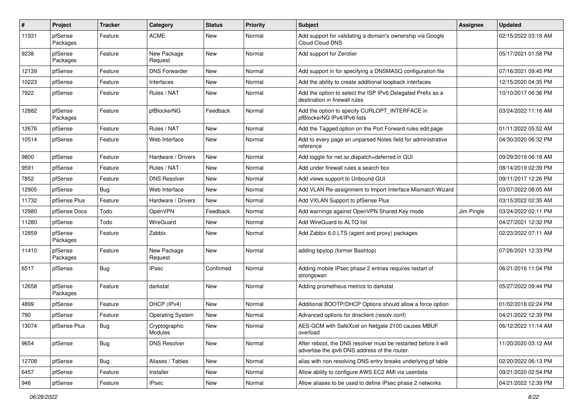| $\sharp$ | Project             | Tracker    | Category                 | <b>Status</b> | <b>Priority</b> | <b>Subject</b>                                                                                                   | <b>Assignee</b> | <b>Updated</b>      |
|----------|---------------------|------------|--------------------------|---------------|-----------------|------------------------------------------------------------------------------------------------------------------|-----------------|---------------------|
| 11931    | pfSense<br>Packages | Feature    | <b>ACME</b>              | New           | Normal          | Add support for validating a domain's ownership via Google<br>Cloud Cloud DNS                                    |                 | 02/15/2022 03:18 AM |
| 9238     | pfSense<br>Packages | Feature    | New Package<br>Request   | New           | Normal          | Add support for Zerotier                                                                                         |                 | 05/17/2021 01:58 PM |
| 12139    | pfSense             | Feature    | <b>DNS Forwarder</b>     | <b>New</b>    | Normal          | Add support in for specifying a DNSMASQ configuration file                                                       |                 | 07/16/2021 09:45 PM |
| 10223    | pfSense             | Feature    | Interfaces               | New           | Normal          | Add the ability to create additional loopback interfaces                                                         |                 | 12/15/2020 04:35 PM |
| 7922     | pfSense             | Feature    | Rules / NAT              | New           | Normal          | Add the option to select the ISP IPv6 Delegated Prefix as a<br>destination in firewall rules                     |                 | 10/10/2017 06:36 PM |
| 12882    | pfSense<br>Packages | Feature    | pfBlockerNG              | Feedback      | Normal          | Add the option to specify CURLOPT_INTERFACE in<br>pfBlockerNG IPv4/IPv6 lists                                    |                 | 03/24/2022 11:16 AM |
| 12676    | pfSense             | Feature    | Rules / NAT              | New           | Normal          | Add the Tagged option on the Port Forward rules edit page                                                        |                 | 01/11/2022 05:52 AM |
| 10514    | pfSense             | Feature    | Web Interface            | New           | Normal          | Add to every page an unparsed Notes field for administrative<br>reference                                        |                 | 04/30/2020 06:32 PM |
| 9800     | pfSense             | Feature    | Hardware / Drivers       | New           | Normal          | Add toggle for net.isr.dispatch=deferred in GUI                                                                  |                 | 09/29/2019 06:18 AM |
| 9591     | pfSense             | Feature    | Rules / NAT              | New           | Normal          | Add under firewall rules a search box                                                                            |                 | 08/14/2019 02:39 PM |
| 7852     | pfSense             | Feature    | <b>DNS Resolver</b>      | <b>New</b>    | Normal          | Add views support to Unbound GUI                                                                                 |                 | 09/11/2017 12:26 PM |
| 12905    | pfSense             | Bug        | Web Interface            | New           | Normal          | Add VLAN Re-assignment to Import Interface Mismatch Wizard                                                       |                 | 03/07/2022 08:05 AM |
| 11732    | pfSense Plus        | Feature    | Hardware / Drivers       | <b>New</b>    | Normal          | Add VXLAN Support to pfSense Plus                                                                                |                 | 03/15/2022 02:35 AM |
| 12980    | pfSense Docs        | Todo       | OpenVPN                  | Feedback      | Normal          | Add warnings against OpenVPN Shared Key mode                                                                     | Jim Pingle      | 03/24/2022 02:11 PM |
| 11280    | pfSense             | Todo       | WireGuard                | New           | Normal          | Add WireGuard to ALTQ list                                                                                       |                 | 04/27/2021 12:32 PM |
| 12859    | pfSense<br>Packages | Feature    | Zabbix                   | <b>New</b>    | Normal          | Add Zabbix 6.0 LTS (agent and proxy) packages                                                                    |                 | 02/23/2022 07:11 AM |
| 11410    | pfSense<br>Packages | Feature    | New Package<br>Request   | New           | Normal          | adding bpytop (former Bashtop)                                                                                   |                 | 07/26/2021 12:33 PM |
| 6517     | pfSense             | <b>Bug</b> | <b>IPsec</b>             | Confirmed     | Normal          | Adding mobile IPsec phase 2 entries requires restart of<br>strongswan                                            |                 | 06/21/2016 11:04 PM |
| 12658    | pfSense<br>Packages | Feature    | darkstat                 | New           | Normal          | Adding prometheus metrics to darkstat                                                                            |                 | 05/27/2022 09:44 PM |
| 4899     | pfSense             | Feature    | DHCP (IPv4)              | <b>New</b>    | Normal          | Additional BOOTP/DHCP Options should allow a force option                                                        |                 | 01/02/2018 02:24 PM |
| 790      | pfSense             | Feature    | <b>Operating System</b>  | New           | Normal          | Advanced options for dnsclient (resolv.conf)                                                                     |                 | 04/21/2022 12:39 PM |
| 13074    | pfSense Plus        | Bug        | Cryptographic<br>Modules | New           | Normal          | AES-GCM with SafeXcel on Netgate 2100 causes MBUF<br>overload                                                    |                 | 06/12/2022 11:14 AM |
| 9654     | pfSense             | <b>Bug</b> | <b>DNS Resolver</b>      | New           | Normal          | After reboot, the DNS resolver must be restarted before it will<br>advertise the ipv6 DNS address of the router. |                 | 11/20/2020 03:12 AM |
| 12708    | pfSense             | <b>Bug</b> | Aliases / Tables         | New           | Normal          | alias with non resolving DNS entry breaks underlying pf table                                                    |                 | 02/20/2022 06:13 PM |
| 6457     | pfSense             | Feature    | Installer                | New           | Normal          | Allow ability to configure AWS EC2 AMI via userdata                                                              |                 | 09/21/2020 02:54 PM |
| 946      | pfSense             | Feature    | <b>IPsec</b>             | New           | Normal          | Allow aliases to be used to define IPsec phase 2 networks                                                        |                 | 04/21/2022 12:39 PM |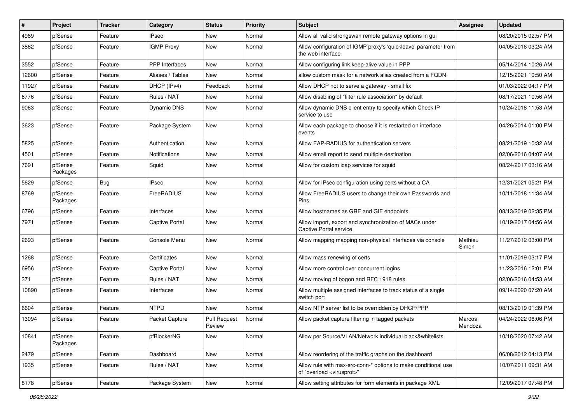| #     | Project             | <b>Tracker</b> | Category              | <b>Status</b>                 | <b>Priority</b> | <b>Subject</b>                                                                                          | <b>Assignee</b>   | <b>Updated</b>      |
|-------|---------------------|----------------|-----------------------|-------------------------------|-----------------|---------------------------------------------------------------------------------------------------------|-------------------|---------------------|
| 4989  | pfSense             | Feature        | <b>IPsec</b>          | New                           | Normal          | Allow all valid strongswan remote gateway options in gui                                                |                   | 08/20/2015 02:57 PM |
| 3862  | pfSense             | Feature        | <b>IGMP Proxy</b>     | New                           | Normal          | Allow configuration of IGMP proxy's 'quickleave' parameter from<br>the web interface                    |                   | 04/05/2016 03:24 AM |
| 3552  | pfSense             | Feature        | <b>PPP</b> Interfaces | <b>New</b>                    | Normal          | Allow configuring link keep-alive value in PPP                                                          |                   | 05/14/2014 10:26 AM |
| 12600 | pfSense             | Feature        | Aliases / Tables      | <b>New</b>                    | Normal          | allow custom mask for a network alias created from a FQDN                                               |                   | 12/15/2021 10:50 AM |
| 11927 | pfSense             | Feature        | DHCP (IPv4)           | Feedback                      | Normal          | Allow DHCP not to serve a gateway - small fix                                                           |                   | 01/03/2022 04:17 PM |
| 6776  | pfSense             | Feature        | Rules / NAT           | New                           | Normal          | Allow disabling of "filter rule association" by default                                                 |                   | 08/17/2021 10:56 AM |
| 9063  | pfSense             | Feature        | <b>Dynamic DNS</b>    | New                           | Normal          | Allow dynamic DNS client entry to specify which Check IP<br>service to use                              |                   | 10/24/2018 11:53 AM |
| 3623  | pfSense             | Feature        | Package System        | New                           | Normal          | Allow each package to choose if it is restarted on interface<br>events                                  |                   | 04/26/2014 01:00 PM |
| 5825  | pfSense             | Feature        | Authentication        | <b>New</b>                    | Normal          | Allow EAP-RADIUS for authentication servers                                                             |                   | 08/21/2019 10:32 AM |
| 4501  | pfSense             | Feature        | Notifications         | New                           | Normal          | Allow email report to send multiple destination                                                         |                   | 02/06/2016 04:07 AM |
| 7691  | pfSense<br>Packages | Feature        | Squid                 | New                           | Normal          | Allow for custom icap services for squid                                                                |                   | 08/24/2017 03:16 AM |
| 5629  | pfSense             | <b>Bug</b>     | <b>IPsec</b>          | <b>New</b>                    | Normal          | Allow for IPsec configuration using certs without a CA                                                  |                   | 12/31/2021 05:21 PM |
| 8769  | pfSense<br>Packages | Feature        | FreeRADIUS            | New                           | Normal          | Allow FreeRADIUS users to change their own Passwords and<br>Pins                                        |                   | 10/11/2018 11:34 AM |
| 6796  | pfSense             | Feature        | Interfaces            | <b>New</b>                    | Normal          | Allow hostnames as GRE and GIF endpoints                                                                |                   | 08/13/2019 02:35 PM |
| 7971  | pfSense             | Feature        | <b>Captive Portal</b> | New                           | Normal          | Allow import, export and synchronization of MACs under<br>Captive Portal service                        |                   | 10/19/2017 04:56 AM |
| 2693  | pfSense             | Feature        | Console Menu          | <b>New</b>                    | Normal          | Allow mapping mapping non-physical interfaces via console                                               | Mathieu<br>Simon  | 11/27/2012 03:00 PM |
| 1268  | pfSense             | Feature        | Certificates          | <b>New</b>                    | Normal          | Allow mass renewing of certs                                                                            |                   | 11/01/2019 03:17 PM |
| 6956  | pfSense             | Feature        | Captive Portal        | New                           | Normal          | Allow more control over concurrent logins                                                               |                   | 11/23/2016 12:01 PM |
| 371   | pfSense             | Feature        | Rules / NAT           | New                           | Normal          | Allow moving of bogon and RFC 1918 rules                                                                |                   | 02/06/2016 04:53 AM |
| 10890 | pfSense             | Feature        | Interfaces            | <b>New</b>                    | Normal          | Allow multiple assigned interfaces to track status of a single<br>switch port                           |                   | 09/14/2020 07:20 AM |
| 6604  | pfSense             | Feature        | <b>NTPD</b>           | <b>New</b>                    | Normal          | Allow NTP server list to be overridden by DHCP/PPP                                                      |                   | 08/13/2019 01:39 PM |
| 13094 | pfSense             | Feature        | Packet Capture        | <b>Pull Request</b><br>Review | Normal          | Allow packet capture filtering in tagged packets                                                        | Marcos<br>Mendoza | 04/24/2022 06:06 PM |
| 10841 | pfSense<br>Packages | Feature        | pfBlockerNG           | New                           | Normal          | Allow per Source/VLAN/Network individual black&whitelists                                               |                   | 10/18/2020 07:42 AM |
| 2479  | pfSense             | Feature        | Dashboard             | New                           | Normal          | Allow reordering of the traffic graphs on the dashboard                                                 |                   | 06/08/2012 04:13 PM |
| 1935  | pfSense             | Feature        | Rules / NAT           | New                           | Normal          | Allow rule with max-src-conn-* options to make conditional use<br>of "overload <virusprot>"</virusprot> |                   | 10/07/2011 09:31 AM |
| 8178  | pfSense             | Feature        | Package System        | New                           | Normal          | Allow setting attributes for form elements in package XML                                               |                   | 12/09/2017 07:48 PM |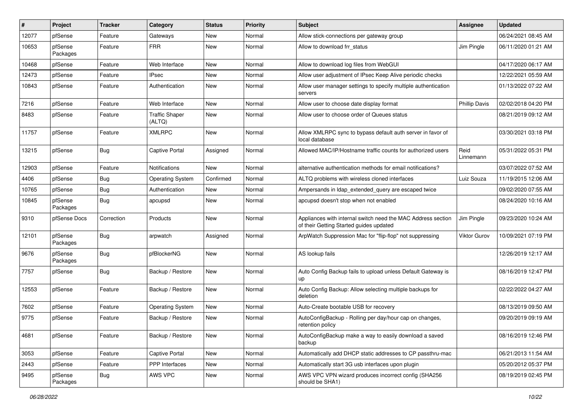| #     | Project             | <b>Tracker</b> | Category                        | <b>Status</b> | <b>Priority</b> | <b>Subject</b>                                                                                          | <b>Assignee</b>      | <b>Updated</b>      |
|-------|---------------------|----------------|---------------------------------|---------------|-----------------|---------------------------------------------------------------------------------------------------------|----------------------|---------------------|
| 12077 | pfSense             | Feature        | Gateways                        | New           | Normal          | Allow stick-connections per gateway group                                                               |                      | 06/24/2021 08:45 AM |
| 10653 | pfSense<br>Packages | Feature        | <b>FRR</b>                      | New           | Normal          | Allow to download frr status                                                                            | Jim Pingle           | 06/11/2020 01:21 AM |
| 10468 | pfSense             | Feature        | Web Interface                   | New           | Normal          | Allow to download log files from WebGUI                                                                 |                      | 04/17/2020 06:17 AM |
| 12473 | pfSense             | Feature        | <b>IPsec</b>                    | New           | Normal          | Allow user adjustment of IPsec Keep Alive periodic checks                                               |                      | 12/22/2021 05:59 AM |
| 10843 | pfSense             | Feature        | Authentication                  | New           | Normal          | Allow user manager settings to specify multiple authentication<br>servers                               |                      | 01/13/2022 07:22 AM |
| 7216  | pfSense             | Feature        | Web Interface                   | <b>New</b>    | Normal          | Allow user to choose date display format                                                                | <b>Phillip Davis</b> | 02/02/2018 04:20 PM |
| 8483  | pfSense             | Feature        | <b>Traffic Shaper</b><br>(ALTQ) | New           | Normal          | Allow user to choose order of Queues status                                                             |                      | 08/21/2019 09:12 AM |
| 11757 | pfSense             | Feature        | <b>XMLRPC</b>                   | <b>New</b>    | Normal          | Allow XMLRPC sync to bypass default auth server in favor of<br>local database                           |                      | 03/30/2021 03:18 PM |
| 13215 | pfSense             | <b>Bug</b>     | Captive Portal                  | Assigned      | Normal          | Allowed MAC/IP/Hostname traffic counts for authorized users                                             | Reid<br>Linnemann    | 05/31/2022 05:31 PM |
| 12903 | pfSense             | Feature        | <b>Notifications</b>            | <b>New</b>    | Normal          | alternative authentication methods for email notifications?                                             |                      | 03/07/2022 07:52 AM |
| 4406  | pfSense             | <b>Bug</b>     | <b>Operating System</b>         | Confirmed     | Normal          | ALTQ problems with wireless cloned interfaces                                                           | Luiz Souza           | 11/19/2015 12:06 AM |
| 10765 | pfSense             | <b>Bug</b>     | Authentication                  | New           | Normal          | Ampersands in Idap extended query are escaped twice                                                     |                      | 09/02/2020 07:55 AM |
| 10845 | pfSense<br>Packages | <b>Bug</b>     | apcupsd                         | New           | Normal          | apcupsd doesn't stop when not enabled                                                                   |                      | 08/24/2020 10:16 AM |
| 9310  | pfSense Docs        | Correction     | Products                        | New           | Normal          | Appliances with internal switch need the MAC Address section<br>of their Getting Started guides updated | Jim Pingle           | 09/23/2020 10:24 AM |
| 12101 | pfSense<br>Packages | Bug            | arpwatch                        | Assigned      | Normal          | ArpWatch Suppression Mac for "flip-flop" not suppressing                                                | Viktor Gurov         | 10/09/2021 07:19 PM |
| 9676  | pfSense<br>Packages | <b>Bug</b>     | pfBlockerNG                     | <b>New</b>    | Normal          | AS lookup fails                                                                                         |                      | 12/26/2019 12:17 AM |
| 7757  | pfSense             | <b>Bug</b>     | Backup / Restore                | New           | Normal          | Auto Config Backup fails to upload unless Default Gateway is<br><b>up</b>                               |                      | 08/16/2019 12:47 PM |
| 12553 | pfSense             | Feature        | Backup / Restore                | New           | Normal          | Auto Config Backup: Allow selecting multiple backups for<br>deletion                                    |                      | 02/22/2022 04:27 AM |
| 7602  | pfSense             | Feature        | <b>Operating System</b>         | <b>New</b>    | Normal          | Auto-Create bootable USB for recovery                                                                   |                      | 08/13/2019 09:50 AM |
| 9775  | pfSense             | Feature        | Backup / Restore                | New           | Normal          | AutoConfigBackup - Rolling per day/hour cap on changes,<br>retention policy                             |                      | 09/20/2019 09:19 AM |
| 4681  | pfSense             | Feature        | Backup / Restore                | New           | Normal          | AutoConfigBackup make a way to easily download a saved<br>backup                                        |                      | 08/16/2019 12:46 PM |
| 3053  | pfSense             | Feature        | Captive Portal                  | New           | Normal          | Automatically add DHCP static addresses to CP passthru-mac                                              |                      | 06/21/2013 11:54 AM |
| 2443  | pfSense             | Feature        | PPP Interfaces                  | New           | Normal          | Automatically start 3G usb interfaces upon plugin                                                       |                      | 05/20/2012 05:37 PM |
| 9495  | pfSense<br>Packages | <b>Bug</b>     | AWS VPC                         | New           | Normal          | AWS VPC VPN wizard produces incorrect config (SHA256<br>should be SHA1)                                 |                      | 08/19/2019 02:45 PM |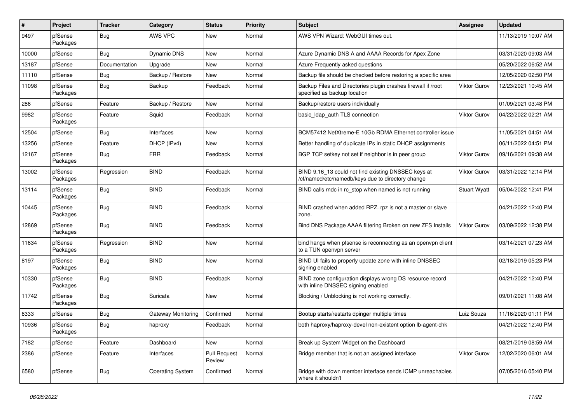| #     | Project             | <b>Tracker</b> | Category                | <b>Status</b>                 | <b>Priority</b> | Subject                                                                                                  | <b>Assignee</b>     | <b>Updated</b>      |
|-------|---------------------|----------------|-------------------------|-------------------------------|-----------------|----------------------------------------------------------------------------------------------------------|---------------------|---------------------|
| 9497  | pfSense<br>Packages | <b>Bug</b>     | AWS VPC                 | New                           | Normal          | AWS VPN Wizard: WebGUI times out.                                                                        |                     | 11/13/2019 10:07 AM |
| 10000 | pfSense             | <b>Bug</b>     | <b>Dynamic DNS</b>      | New                           | Normal          | Azure Dynamic DNS A and AAAA Records for Apex Zone                                                       |                     | 03/31/2020 09:03 AM |
| 13187 | pfSense             | Documentation  | Upgrade                 | New                           | Normal          | Azure Frequently asked questions                                                                         |                     | 05/20/2022 06:52 AM |
| 11110 | pfSense             | <b>Bug</b>     | Backup / Restore        | <b>New</b>                    | Normal          | Backup file should be checked before restoring a specific area                                           |                     | 12/05/2020 02:50 PM |
| 11098 | pfSense<br>Packages | <b>Bug</b>     | Backup                  | Feedback                      | Normal          | Backup Files and Directories plugin crashes firewall if /root<br>specified as backup location            | Viktor Gurov        | 12/23/2021 10:45 AM |
| 286   | pfSense             | Feature        | Backup / Restore        | <b>New</b>                    | Normal          | Backup/restore users individually                                                                        |                     | 01/09/2021 03:48 PM |
| 9982  | pfSense<br>Packages | Feature        | Squid                   | Feedback                      | Normal          | basic_Idap_auth TLS connection                                                                           | <b>Viktor Gurov</b> | 04/22/2022 02:21 AM |
| 12504 | pfSense             | Bug            | Interfaces              | New                           | Normal          | BCM57412 NetXtreme-E 10Gb RDMA Ethernet controller issue                                                 |                     | 11/05/2021 04:51 AM |
| 13256 | pfSense             | Feature        | DHCP (IPv4)             | New                           | Normal          | Better handling of duplicate IPs in static DHCP assignments                                              |                     | 06/11/2022 04:51 PM |
| 12167 | pfSense<br>Packages | <b>Bug</b>     | <b>FRR</b>              | Feedback                      | Normal          | BGP TCP setkey not set if neighbor is in peer group                                                      | <b>Viktor Gurov</b> | 09/16/2021 09:38 AM |
| 13002 | pfSense<br>Packages | Regression     | <b>BIND</b>             | Feedback                      | Normal          | BIND 9.16_13 could not find existing DNSSEC keys at<br>/cf/named/etc/namedb/keys due to directory change | Viktor Gurov        | 03/31/2022 12:14 PM |
| 13114 | pfSense<br>Packages | <b>Bug</b>     | <b>BIND</b>             | Feedback                      | Normal          | BIND calls rndc in rc stop when named is not running                                                     | <b>Stuart Wyatt</b> | 05/04/2022 12:41 PM |
| 10445 | pfSense<br>Packages | <b>Bug</b>     | <b>BIND</b>             | Feedback                      | Normal          | BIND crashed when added RPZ. rpz is not a master or slave<br>zone.                                       |                     | 04/21/2022 12:40 PM |
| 12869 | pfSense<br>Packages | <b>Bug</b>     | <b>BIND</b>             | Feedback                      | Normal          | Bind DNS Package AAAA filtering Broken on new ZFS Installs                                               | <b>Viktor Gurov</b> | 03/09/2022 12:38 PM |
| 11634 | pfSense<br>Packages | Regression     | <b>BIND</b>             | <b>New</b>                    | Normal          | bind hangs when pfsense is reconnecting as an openvpn client<br>to a TUN openvpn server                  |                     | 03/14/2021 07:23 AM |
| 8197  | pfSense<br>Packages | <b>Bug</b>     | <b>BIND</b>             | New                           | Normal          | BIND UI fails to properly update zone with inline DNSSEC<br>signing enabled                              |                     | 02/18/2019 05:23 PM |
| 10330 | pfSense<br>Packages | <b>Bug</b>     | <b>BIND</b>             | Feedback                      | Normal          | BIND zone configuration displays wrong DS resource record<br>with inline DNSSEC signing enabled          |                     | 04/21/2022 12:40 PM |
| 11742 | pfSense<br>Packages | <b>Bug</b>     | Suricata                | <b>New</b>                    | Normal          | Blocking / Unblocking is not working correctly.                                                          |                     | 09/01/2021 11:08 AM |
| 6333  | pfSense             | <b>Bug</b>     | Gateway Monitoring      | Confirmed                     | Normal          | Bootup starts/restarts dpinger multiple times                                                            | Luiz Souza          | 11/16/2020 01:11 PM |
| 10936 | pfSense<br>Packages | <b>Bug</b>     | haproxy                 | Feedback                      | Normal          | both haproxy/haproxy-devel non-existent option lb-agent-chk                                              |                     | 04/21/2022 12:40 PM |
| 7182  | pfSense             | Feature        | Dashboard               | New                           | Normal          | Break up System Widget on the Dashboard                                                                  |                     | 08/21/2019 08:59 AM |
| 2386  | pfSense             | Feature        | Interfaces              | <b>Pull Request</b><br>Review | Normal          | Bridge member that is not an assigned interface                                                          | <b>Viktor Gurov</b> | 12/02/2020 06:01 AM |
| 6580  | pfSense             | <b>Bug</b>     | <b>Operating System</b> | Confirmed                     | Normal          | Bridge with down member interface sends ICMP unreachables<br>where it shouldn't                          |                     | 07/05/2016 05:40 PM |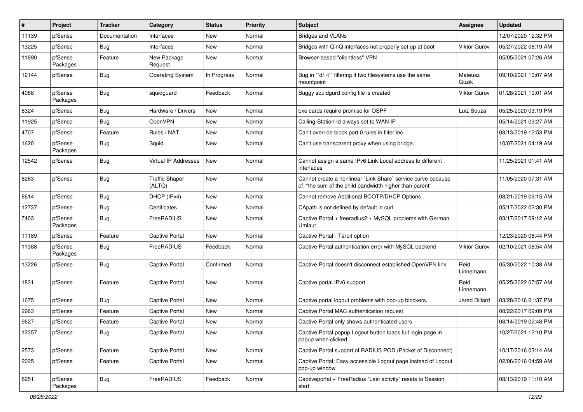| #     | Project             | <b>Tracker</b> | Category                        | <b>Status</b> | Priority | Subject                                                                                                                 | <b>Assignee</b>      | <b>Updated</b>      |
|-------|---------------------|----------------|---------------------------------|---------------|----------|-------------------------------------------------------------------------------------------------------------------------|----------------------|---------------------|
| 11139 | pfSense             | Documentation  | Interfaces                      | New           | Normal   | <b>Bridges and VLANs</b>                                                                                                |                      | 12/07/2020 12:32 PM |
| 13225 | pfSense             | Bug            | Interfaces                      | <b>New</b>    | Normal   | Bridges with QinQ interfaces not properly set up at boot                                                                | Viktor Gurov         | 05/27/2022 08:19 AM |
| 11890 | pfSense<br>Packages | Feature        | New Package<br>Request          | New           | Normal   | Browser-based "clientless" VPN                                                                                          |                      | 05/05/2021 07:26 AM |
| 12144 | pfSense             | Bug            | <b>Operating System</b>         | In Progress   | Normal   | Bug in "df -t" filtering if two filesystems use the same<br>mountpoint                                                  | Mateusz<br>Guzik     | 09/10/2021 10:07 AM |
| 4088  | pfSense<br>Packages | <b>Bug</b>     | squidguard                      | Feedback      | Normal   | Buggy squidgurd config file is created                                                                                  | Viktor Gurov         | 01/28/2021 10:01 AM |
| 8324  | pfSense             | Bug            | Hardware / Drivers              | New           | Normal   | bxe cards require promisc for OSPF                                                                                      | Luiz Souza           | 05/25/2020 03:19 PM |
| 11925 | pfSense             | Bug            | OpenVPN                         | New           | Normal   | Calling-Station-Id always set to WAN IP                                                                                 |                      | 05/14/2021 09:27 AM |
| 4707  | pfSense             | Feature        | Rules / NAT                     | New           | Normal   | Can't override block port 0 rules in filter.inc                                                                         |                      | 08/13/2019 12:53 PM |
| 1620  | pfSense<br>Packages | Bug            | Squid                           | New           | Normal   | Can't use transparent proxy when using bridge.                                                                          |                      | 10/07/2021 04:19 AM |
| 12542 | pfSense             | Bug            | Virtual IP Addresses            | New           | Normal   | Cannot assign a same IPv6 Link-Local address to different<br>interfaces                                                 |                      | 11/25/2021 01:41 AM |
| 8263  | pfSense             | <b>Bug</b>     | <b>Traffic Shaper</b><br>(ALTQ) | <b>New</b>    | Normal   | Cannot create a nonlinear `Link Share` service curve because<br>of: "the sum of the child bandwidth higher than parent" |                      | 11/05/2020 07:31 AM |
| 8614  | pfSense             | <b>Bug</b>     | DHCP (IPv4)                     | <b>New</b>    | Normal   | Cannot remove Additional BOOTP/DHCP Options                                                                             |                      | 08/21/2019 09:15 AM |
| 12737 | pfSense             | <b>Bug</b>     | Certificates                    | New           | Normal   | CApath is not defined by default in curl                                                                                |                      | 05/17/2022 02:30 PM |
| 7403  | pfSense<br>Packages | <b>Bug</b>     | FreeRADIUS                      | New           | Normal   | Captive Portal + freeradius2 + MySQL problems with German<br>Umlaut                                                     |                      | 03/17/2017 09:12 AM |
| 11189 | pfSense             | Feature        | <b>Captive Portal</b>           | <b>New</b>    | Normal   | Captive Portal - Tarpit option                                                                                          |                      | 12/23/2020 06:44 PM |
| 11388 | pfSense<br>Packages | <b>Bug</b>     | FreeRADIUS                      | Feedback      | Normal   | Captive Portal authentication error with MySQL backend                                                                  | Viktor Gurov         | 02/10/2021 08:54 AM |
| 13226 | pfSense             | Bug            | <b>Captive Portal</b>           | Confirmed     | Normal   | Captive Portal doesn't disconnect established OpenVPN link                                                              | Reid<br>Linnemann    | 05/30/2022 10:38 AM |
| 1831  | pfSense             | Feature        | <b>Captive Portal</b>           | <b>New</b>    | Normal   | Captive portal IPv6 support                                                                                             | Reid<br>Linnemann    | 05/25/2022 07:57 AM |
| 1675  | pfSense             | Bug            | <b>Captive Portal</b>           | New           | Normal   | Captive portal logout problems with pop-up blockers.                                                                    | <b>Jared Dillard</b> | 03/28/2016 01:37 PM |
| 2963  | pfSense             | Feature        | <b>Captive Portal</b>           | New           | Normal   | Captive Portal MAC authentication request                                                                               |                      | 08/22/2017 09:09 PM |
| 9627  | pfSense             | Feature        | <b>Captive Portal</b>           | New           | Normal   | Captive Portal only shows authenticated users                                                                           |                      | 08/14/2019 02:48 PM |
| 12357 | pfSense             | <b>Bug</b>     | <b>Captive Portal</b>           | New           | Normal   | Captive Portal popup Logout button loads full login page in<br>popup when clicked                                       |                      | 10/27/2021 12:10 PM |
| 2573  | pfSense             | Feature        | Captive Portal                  | New           | Normal   | Captive Portal support of RADIUS POD (Packet of Disconnect)                                                             |                      | 10/17/2016 03:14 AM |
| 2025  | pfSense             | Feature        | Captive Portal                  | New           | Normal   | Captive Portal: Easy accessible Logout page instead of Logout<br>pop-up window                                          |                      | 02/06/2016 04:59 AM |
| 8251  | pfSense<br>Packages | <b>Bug</b>     | FreeRADIUS                      | Feedback      | Normal   | Captiveportal + FreeRadius "Last activity" resets to Session<br>start                                                   |                      | 08/13/2019 11:10 AM |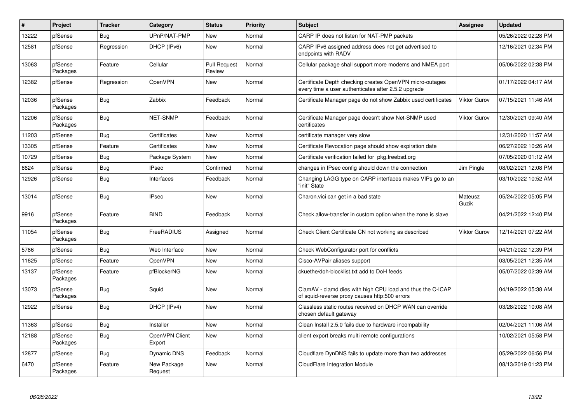| #     | Project             | <b>Tracker</b> | Category                 | <b>Status</b>                 | Priority | <b>Subject</b>                                                                                                  | Assignee         | <b>Updated</b>      |
|-------|---------------------|----------------|--------------------------|-------------------------------|----------|-----------------------------------------------------------------------------------------------------------------|------------------|---------------------|
| 13222 | pfSense             | Bug            | UPnP/NAT-PMP             | New                           | Normal   | CARP IP does not listen for NAT-PMP packets                                                                     |                  | 05/26/2022 02:28 PM |
| 12581 | pfSense             | Regression     | DHCP (IPv6)              | New                           | Normal   | CARP IPv6 assigned address does not get advertised to<br>endpoints with RADV                                    |                  | 12/16/2021 02:34 PM |
| 13063 | pfSense<br>Packages | Feature        | Cellular                 | <b>Pull Request</b><br>Review | Normal   | Cellular package shall support more modems and NMEA port                                                        |                  | 05/06/2022 02:38 PM |
| 12382 | pfSense             | Regression     | <b>OpenVPN</b>           | <b>New</b>                    | Normal   | Certificate Depth checking creates OpenVPN micro-outages<br>every time a user authenticates after 2.5.2 upgrade |                  | 01/17/2022 04:17 AM |
| 12036 | pfSense<br>Packages | Bug            | Zabbix                   | Feedback                      | Normal   | Certificate Manager page do not show Zabbix used certificates                                                   | Viktor Gurov     | 07/15/2021 11:46 AM |
| 12206 | pfSense<br>Packages | Bug            | NET-SNMP                 | Feedback                      | Normal   | Certificate Manager page doesn't show Net-SNMP used<br>certificates                                             | Viktor Gurov     | 12/30/2021 09:40 AM |
| 11203 | pfSense             | Bug            | Certificates             | New                           | Normal   | certificate manager very slow                                                                                   |                  | 12/31/2020 11:57 AM |
| 13305 | pfSense             | Feature        | Certificates             | <b>New</b>                    | Normal   | Certificate Revocation page should show expiration date                                                         |                  | 06/27/2022 10:26 AM |
| 10729 | pfSense             | <b>Bug</b>     | Package System           | <b>New</b>                    | Normal   | Certificate verification failed for pkg.freebsd.org                                                             |                  | 07/05/2020 01:12 AM |
| 6624  | pfSense             | <b>Bug</b>     | <b>IPsec</b>             | Confirmed                     | Normal   | changes in IPsec config should down the connection                                                              | Jim Pingle       | 08/02/2021 12:08 PM |
| 12926 | pfSense             | Bug            | Interfaces               | Feedback                      | Normal   | Changing LAGG type on CARP interfaces makes VIPs go to an<br>"init" State                                       |                  | 03/10/2022 10:52 AM |
| 13014 | pfSense             | <b>Bug</b>     | <b>IPsec</b>             | <b>New</b>                    | Normal   | Charon.vici can get in a bad state                                                                              | Mateusz<br>Guzik | 05/24/2022 05:05 PM |
| 9916  | pfSense<br>Packages | Feature        | <b>BIND</b>              | Feedback                      | Normal   | Check allow-transfer in custom option when the zone is slave                                                    |                  | 04/21/2022 12:40 PM |
| 11054 | pfSense<br>Packages | <b>Bug</b>     | FreeRADIUS               | Assigned                      | Normal   | Check Client Certificate CN not working as described                                                            | Viktor Gurov     | 12/14/2021 07:22 AM |
| 5786  | pfSense             | Bug            | Web Interface            | New                           | Normal   | Check WebConfigurator port for conflicts                                                                        |                  | 04/21/2022 12:39 PM |
| 11625 | pfSense             | Feature        | <b>OpenVPN</b>           | New                           | Normal   | Cisco-AVPair aliases support                                                                                    |                  | 03/05/2021 12:35 AM |
| 13137 | pfSense<br>Packages | Feature        | pfBlockerNG              | New                           | Normal   | ckuethe/doh-blocklist.txt add to DoH feeds                                                                      |                  | 05/07/2022 02:39 AM |
| 13073 | pfSense<br>Packages | Bug            | Squid                    | New                           | Normal   | ClamAV - clamd dies with high CPU load and thus the C-ICAP<br>of squid-reverse proxy causes http:500 errors     |                  | 04/19/2022 05:38 AM |
| 12922 | pfSense             | Bug            | DHCP (IPv4)              | <b>New</b>                    | Normal   | Classless static routes received on DHCP WAN can override<br>chosen default gateway                             |                  | 03/28/2022 10:08 AM |
| 11363 | pfSense             | <b>Bug</b>     | Installer                | <b>New</b>                    | Normal   | Clean Install 2.5.0 fails due to hardware incompability                                                         |                  | 02/04/2021 11:06 AM |
| 12188 | pfSense<br>Packages | Bug            | OpenVPN Client<br>Export | New                           | Normal   | client export breaks multi remote configurations                                                                |                  | 10/02/2021 05:58 PM |
| 12877 | pfSense             | Bug            | Dynamic DNS              | Feedback                      | Normal   | Cloudflare DynDNS fails to update more than two addresses                                                       |                  | 05/29/2022 06:56 PM |
| 6470  | pfSense<br>Packages | Feature        | New Package<br>Request   | New                           | Normal   | CloudFlare Integration Module                                                                                   |                  | 08/13/2019 01:23 PM |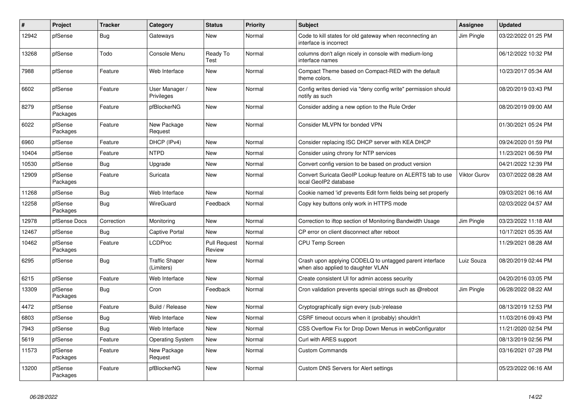| $\sharp$ | Project             | <b>Tracker</b> | Category                            | <b>Status</b>                 | <b>Priority</b> | <b>Subject</b>                                                                                | <b>Assignee</b> | <b>Updated</b>      |
|----------|---------------------|----------------|-------------------------------------|-------------------------------|-----------------|-----------------------------------------------------------------------------------------------|-----------------|---------------------|
| 12942    | pfSense             | Bug            | Gateways                            | <b>New</b>                    | Normal          | Code to kill states for old gateway when reconnecting an<br>interface is incorrect            | Jim Pingle      | 03/22/2022 01:25 PM |
| 13268    | pfSense             | Todo           | Console Menu                        | Ready To<br>Test              | Normal          | columns don't align nicely in console with medium-long<br>interface names                     |                 | 06/12/2022 10:32 PM |
| 7988     | pfSense             | Feature        | Web Interface                       | <b>New</b>                    | Normal          | Compact Theme based on Compact-RED with the default<br>theme colors.                          |                 | 10/23/2017 05:34 AM |
| 6602     | pfSense             | Feature        | User Manager /<br>Privileges        | <b>New</b>                    | Normal          | Config writes denied via "deny config write" permission should<br>notify as such              |                 | 08/20/2019 03:43 PM |
| 8279     | pfSense<br>Packages | Feature        | pfBlockerNG                         | New                           | Normal          | Consider adding a new option to the Rule Order                                                |                 | 08/20/2019 09:00 AM |
| 6022     | pfSense<br>Packages | Feature        | New Package<br>Request              | <b>New</b>                    | Normal          | Consider MLVPN for bonded VPN                                                                 |                 | 01/30/2021 05:24 PM |
| 6960     | pfSense             | Feature        | DHCP (IPv4)                         | <b>New</b>                    | Normal          | Consider replacing ISC DHCP server with KEA DHCP                                              |                 | 09/24/2020 01:59 PM |
| 10404    | pfSense             | Feature        | <b>NTPD</b>                         | New                           | Normal          | Consider using chrony for NTP services                                                        |                 | 11/23/2021 06:59 PM |
| 10530    | pfSense             | <b>Bug</b>     | Upgrade                             | <b>New</b>                    | Normal          | Convert config version to be based on product version                                         |                 | 04/21/2022 12:39 PM |
| 12909    | pfSense<br>Packages | Feature        | Suricata                            | <b>New</b>                    | Normal          | Convert Suricata GeoIP Lookup feature on ALERTS tab to use<br>local GeoIP2 database           | Viktor Gurov    | 03/07/2022 08:28 AM |
| 11268    | pfSense             | <b>Bug</b>     | Web Interface                       | <b>New</b>                    | Normal          | Cookie named 'id' prevents Edit form fields being set properly                                |                 | 09/03/2021 06:16 AM |
| 12258    | pfSense<br>Packages | <b>Bug</b>     | <b>WireGuard</b>                    | Feedback                      | Normal          | Copy key buttons only work in HTTPS mode                                                      |                 | 02/03/2022 04:57 AM |
| 12978    | pfSense Docs        | Correction     | Monitoring                          | <b>New</b>                    | Normal          | Correction to iftop section of Monitoring Bandwidth Usage                                     | Jim Pingle      | 03/23/2022 11:18 AM |
| 12467    | pfSense             | <b>Bug</b>     | Captive Portal                      | New                           | Normal          | CP error on client disconnect after reboot                                                    |                 | 10/17/2021 05:35 AM |
| 10462    | pfSense<br>Packages | Feature        | <b>LCDProc</b>                      | <b>Pull Request</b><br>Review | Normal          | <b>CPU Temp Screen</b>                                                                        |                 | 11/29/2021 08:28 AM |
| 6295     | pfSense             | Bug            | <b>Traffic Shaper</b><br>(Limiters) | <b>New</b>                    | Normal          | Crash upon applying CODELQ to untagged parent interface<br>when also applied to daughter VLAN | Luiz Souza      | 08/20/2019 02:44 PM |
| 6215     | pfSense             | Feature        | Web Interface                       | <b>New</b>                    | Normal          | Create consistent UI for admin access security                                                |                 | 04/20/2016 03:05 PM |
| 13309    | pfSense<br>Packages | Bug            | Cron                                | Feedback                      | Normal          | Cron validation prevents special strings such as @reboot                                      | Jim Pingle      | 06/28/2022 08:22 AM |
| 4472     | pfSense             | Feature        | Build / Release                     | <b>New</b>                    | Normal          | Cryptographically sign every (sub-)release                                                    |                 | 08/13/2019 12:53 PM |
| 6803     | pfSense             | <b>Bug</b>     | Web Interface                       | <b>New</b>                    | Normal          | CSRF timeout occurs when it (probably) shouldn't                                              |                 | 11/03/2016 09:43 PM |
| 7943     | pfSense             | Bug            | Web Interface                       | New                           | Normal          | CSS Overflow Fix for Drop Down Menus in webConfigurator                                       |                 | 11/21/2020 02:54 PM |
| 5619     | pfSense             | Feature        | <b>Operating System</b>             | <b>New</b>                    | Normal          | Curl with ARES support                                                                        |                 | 08/13/2019 02:56 PM |
| 11573    | pfSense<br>Packages | Feature        | New Package<br>Request              | New                           | Normal          | <b>Custom Commands</b>                                                                        |                 | 03/16/2021 07:28 PM |
| 13200    | pfSense<br>Packages | Feature        | pfBlockerNG                         | <b>New</b>                    | Normal          | <b>Custom DNS Servers for Alert settings</b>                                                  |                 | 05/23/2022 06:16 AM |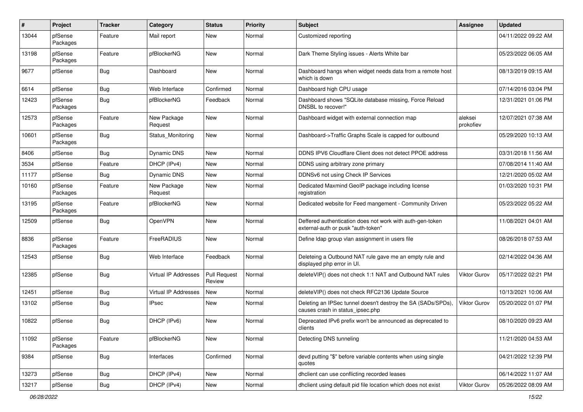| #     | Project             | Tracker    | Category                    | <b>Status</b>                 | <b>Priority</b> | <b>Subject</b>                                                                                   | <b>Assignee</b>      | <b>Updated</b>      |
|-------|---------------------|------------|-----------------------------|-------------------------------|-----------------|--------------------------------------------------------------------------------------------------|----------------------|---------------------|
| 13044 | pfSense<br>Packages | Feature    | Mail report                 | New                           | Normal          | Customized reporting                                                                             |                      | 04/11/2022 09:22 AM |
| 13198 | pfSense<br>Packages | Feature    | pfBlockerNG                 | New                           | Normal          | Dark Theme Styling issues - Alerts White bar                                                     |                      | 05/23/2022 06:05 AM |
| 9677  | pfSense             | <b>Bug</b> | Dashboard                   | <b>New</b>                    | Normal          | Dashboard hangs when widget needs data from a remote host<br>which is down                       |                      | 08/13/2019 09:15 AM |
| 6614  | pfSense             | <b>Bug</b> | Web Interface               | Confirmed                     | Normal          | Dashboard high CPU usage                                                                         |                      | 07/14/2016 03:04 PM |
| 12423 | pfSense<br>Packages | <b>Bug</b> | pfBlockerNG                 | Feedback                      | Normal          | Dashboard shows "SQLite database missing, Force Reload<br>DNSBL to recover!"                     |                      | 12/31/2021 01:06 PM |
| 12573 | pfSense<br>Packages | Feature    | New Package<br>Request      | New                           | Normal          | Dashboard widget with external connection map                                                    | aleksei<br>prokofiev | 12/07/2021 07:38 AM |
| 10601 | pfSense<br>Packages | <b>Bug</b> | Status Monitoring           | <b>New</b>                    | Normal          | Dashboard->Traffic Graphs Scale is capped for outbound                                           |                      | 05/29/2020 10:13 AM |
| 8406  | pfSense             | <b>Bug</b> | Dynamic DNS                 | New                           | Normal          | DDNS IPV6 Cloudflare Client does not detect PPOE address                                         |                      | 03/31/2018 11:56 AM |
| 3534  | pfSense             | Feature    | DHCP (IPv4)                 | New                           | Normal          | DDNS using arbitrary zone primary                                                                |                      | 07/08/2014 11:40 AM |
| 11177 | pfSense             | <b>Bug</b> | <b>Dynamic DNS</b>          | <b>New</b>                    | Normal          | DDNSv6 not using Check IP Services                                                               |                      | 12/21/2020 05:02 AM |
| 10160 | pfSense<br>Packages | Feature    | New Package<br>Request      | New                           | Normal          | Dedicated Maxmind GeoIP package including license<br>registration                                |                      | 01/03/2020 10:31 PM |
| 13195 | pfSense<br>Packages | Feature    | pfBlockerNG                 | New                           | Normal          | Dedicated website for Feed mangement - Community Driven                                          |                      | 05/23/2022 05:22 AM |
| 12509 | pfSense             | <b>Bug</b> | OpenVPN                     | <b>New</b>                    | Normal          | Deffered authentication does not work with auth-gen-token<br>external-auth or pusk "auth-token"  |                      | 11/08/2021 04:01 AM |
| 8836  | pfSense<br>Packages | Feature    | FreeRADIUS                  | <b>New</b>                    | Normal          | Define Idap group vlan assignment in users file                                                  |                      | 08/26/2018 07:53 AM |
| 12543 | pfSense             | <b>Bug</b> | Web Interface               | Feedback                      | Normal          | Deleteing a Outbound NAT rule gave me an empty rule and<br>displayed php error in UI.            |                      | 02/14/2022 04:36 AM |
| 12385 | pfSense             | <b>Bug</b> | <b>Virtual IP Addresses</b> | <b>Pull Request</b><br>Review | Normal          | deleteVIP() does not check 1:1 NAT and Outbound NAT rules                                        | <b>Viktor Gurov</b>  | 05/17/2022 02:21 PM |
| 12451 | pfSense             | <b>Bug</b> | <b>Virtual IP Addresses</b> | <b>New</b>                    | Normal          | deleteVIP() does not check RFC2136 Update Source                                                 |                      | 10/13/2021 10:06 AM |
| 13102 | pfSense             | <b>Bug</b> | <b>IPsec</b>                | New                           | Normal          | Deleting an IPSec tunnel doesn't destroy the SA (SADs/SPDs),<br>causes crash in status_ipsec.php | <b>Viktor Gurov</b>  | 05/20/2022 01:07 PM |
| 10822 | pfSense             | Bug        | DHCP (IPv6)                 | <b>New</b>                    | Normal          | Deprecated IPv6 prefix won't be announced as deprecated to<br>clients                            |                      | 08/10/2020 09:23 AM |
| 11092 | pfSense<br>Packages | Feature    | pfBlockerNG                 | New                           | Normal          | Detecting DNS tunneling                                                                          |                      | 11/21/2020 04:53 AM |
| 9384  | pfSense             | Bug        | Interfaces                  | Confirmed                     | Normal          | devd putting "\$" before variable contents when using single<br>quotes                           |                      | 04/21/2022 12:39 PM |
| 13273 | pfSense             | <b>Bug</b> | DHCP (IPv4)                 | New                           | Normal          | dhclient can use conflicting recorded leases                                                     |                      | 06/14/2022 11:07 AM |
| 13217 | pfSense             | <b>Bug</b> | DHCP (IPv4)                 | New                           | Normal          | dhclient using default pid file location which does not exist                                    | Viktor Gurov         | 05/26/2022 08:09 AM |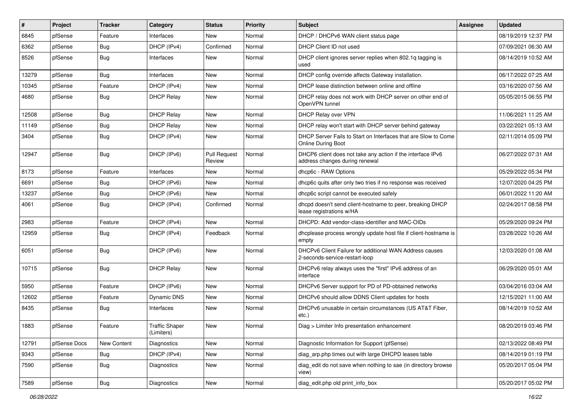| $\vert$ # | Project      | <b>Tracker</b> | Category                            | <b>Status</b>                 | <b>Priority</b> | Subject                                                                                       | <b>Assignee</b> | <b>Updated</b>      |
|-----------|--------------|----------------|-------------------------------------|-------------------------------|-----------------|-----------------------------------------------------------------------------------------------|-----------------|---------------------|
| 6845      | pfSense      | Feature        | Interfaces                          | New                           | Normal          | DHCP / DHCPv6 WAN client status page                                                          |                 | 08/19/2019 12:37 PM |
| 6362      | pfSense      | <b>Bug</b>     | DHCP (IPv4)                         | Confirmed                     | Normal          | DHCP Client ID not used                                                                       |                 | 07/09/2021 06:30 AM |
| 8526      | pfSense      | Bug            | Interfaces                          | New                           | Normal          | DHCP client ignores server replies when 802.1q tagging is<br>used                             |                 | 08/14/2019 10:52 AM |
| 13279     | pfSense      | <b>Bug</b>     | Interfaces                          | <b>New</b>                    | Normal          | DHCP config override affects Gateway installation.                                            |                 | 06/17/2022 07:25 AM |
| 10345     | pfSense      | Feature        | DHCP (IPv4)                         | New                           | Normal          | DHCP lease distinction between online and offline                                             |                 | 03/16/2020 07:56 AM |
| 4680      | pfSense      | Bug            | <b>DHCP Relay</b>                   | New                           | Normal          | DHCP relay does not work with DHCP server on other end of<br>OpenVPN tunnel                   |                 | 05/05/2015 06:55 PM |
| 12508     | pfSense      | Bug            | <b>DHCP Relay</b>                   | New                           | Normal          | DHCP Relay over VPN                                                                           |                 | 11/06/2021 11:25 AM |
| 11149     | pfSense      | <b>Bug</b>     | <b>DHCP Relay</b>                   | <b>New</b>                    | Normal          | DHCP relay won't start with DHCP server behind gateway                                        |                 | 03/22/2021 05:13 AM |
| 3404      | pfSense      | <b>Bug</b>     | DHCP (IPv4)                         | New                           | Normal          | DHCP Server Fails to Start on Interfaces that are Slow to Come<br>Online During Boot          |                 | 02/11/2014 05:09 PM |
| 12947     | pfSense      | <b>Bug</b>     | DHCP (IPv6)                         | <b>Pull Request</b><br>Review | Normal          | DHCP6 client does not take any action if the interface IPv6<br>address changes during renewal |                 | 06/27/2022 07:31 AM |
| 8173      | pfSense      | Feature        | Interfaces                          | <b>New</b>                    | Normal          | dhcp6c - RAW Options                                                                          |                 | 05/29/2022 05:34 PM |
| 6691      | pfSense      | <b>Bug</b>     | DHCP (IPv6)                         | <b>New</b>                    | Normal          | dhcp6c quits after only two tries if no response was received                                 |                 | 12/07/2020 04:25 PM |
| 13237     | pfSense      | <b>Bug</b>     | DHCP (IPv6)                         | New                           | Normal          | dhcp6c script cannot be executed safely                                                       |                 | 06/01/2022 11:20 AM |
| 4061      | pfSense      | Bug            | DHCP (IPv4)                         | Confirmed                     | Normal          | dhcpd doesn't send client-hostname to peer, breaking DHCP<br>lease registrations w/HA         |                 | 02/24/2017 08:58 PM |
| 2983      | pfSense      | Feature        | DHCP (IPv4)                         | <b>New</b>                    | Normal          | DHCPD: Add vendor-class-identifier and MAC-OIDs                                               |                 | 05/29/2020 09:24 PM |
| 12959     | pfSense      | <b>Bug</b>     | DHCP (IPv4)                         | Feedback                      | Normal          | dhcplease process wrongly update host file if client-hostname is<br>empty                     |                 | 03/28/2022 10:26 AM |
| 6051      | pfSense      | Bug            | DHCP (IPv6)                         | New                           | Normal          | DHCPv6 Client Failure for additional WAN Address causes<br>2-seconds-service-restart-loop     |                 | 12/03/2020 01:08 AM |
| 10715     | pfSense      | Bug            | <b>DHCP Relay</b>                   | <b>New</b>                    | Normal          | DHCPv6 relay always uses the "first" IPv6 address of an<br>interface                          |                 | 06/29/2020 05:01 AM |
| 5950      | pfSense      | Feature        | DHCP (IPv6)                         | New                           | Normal          | DHCPv6 Server support for PD of PD-obtained networks                                          |                 | 03/04/2016 03:04 AM |
| 12602     | pfSense      | Feature        | <b>Dynamic DNS</b>                  | New                           | Normal          | DHCPv6 should allow DDNS Client updates for hosts                                             |                 | 12/15/2021 11:00 AM |
| 8435      | pfSense      | <b>Bug</b>     | Interfaces                          | <b>New</b>                    | Normal          | DHCPv6 unusable in certain circumstances (US AT&T Fiber,<br>etc.)                             |                 | 08/14/2019 10:52 AM |
| 1883      | pfSense      | Feature        | <b>Traffic Shaper</b><br>(Limiters) | <b>New</b>                    | Normal          | Diag > Limiter Info presentation enhancement                                                  |                 | 08/20/2019 03:46 PM |
| 12791     | pfSense Docs | New Content    | Diagnostics                         | New                           | Normal          | Diagnostic Information for Support (pfSense)                                                  |                 | 02/13/2022 08:49 PM |
| 9343      | pfSense      | <b>Bug</b>     | DHCP (IPv4)                         | New                           | Normal          | diag arp.php times out with large DHCPD leases table                                          |                 | 08/14/2019 01:19 PM |
| 7590      | pfSense      | <b>Bug</b>     | Diagnostics                         | New                           | Normal          | diag_edit do not save when nothing to sae (in directory browse<br>view)                       |                 | 05/20/2017 05:04 PM |
| 7589      | pfSense      | Bug            | Diagnostics                         | New                           | Normal          | diag_edit.php old print_info_box                                                              |                 | 05/20/2017 05:02 PM |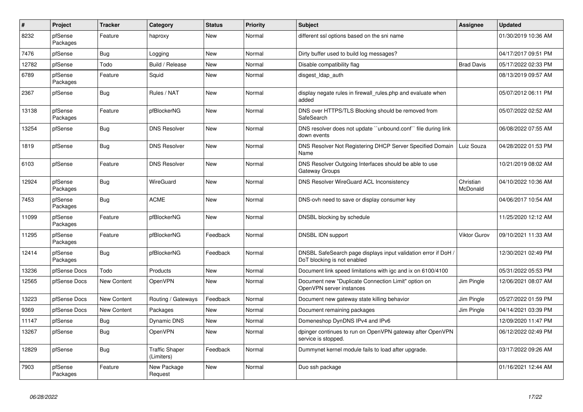| $\sharp$ | Project             | <b>Tracker</b>     | Category                            | <b>Status</b> | <b>Priority</b> | <b>Subject</b>                                                                                | Assignee              | <b>Updated</b>      |
|----------|---------------------|--------------------|-------------------------------------|---------------|-----------------|-----------------------------------------------------------------------------------------------|-----------------------|---------------------|
| 8232     | pfSense<br>Packages | Feature            | haproxy                             | New           | Normal          | different ssl options based on the sni name                                                   |                       | 01/30/2019 10:36 AM |
| 7476     | pfSense             | <b>Bug</b>         | Logging                             | <b>New</b>    | Normal          | Dirty buffer used to build log messages?                                                      |                       | 04/17/2017 09:51 PM |
| 12782    | pfSense             | Todo               | Build / Release                     | New           | Normal          | Disable compatibility flag                                                                    | <b>Brad Davis</b>     | 05/17/2022 02:33 PM |
| 6789     | pfSense<br>Packages | Feature            | Squid                               | <b>New</b>    | Normal          | disgest Idap auth                                                                             |                       | 08/13/2019 09:57 AM |
| 2367     | pfSense             | Bug                | Rules / NAT                         | <b>New</b>    | Normal          | display negate rules in firewall rules.php and evaluate when<br>added                         |                       | 05/07/2012 06:11 PM |
| 13138    | pfSense<br>Packages | Feature            | pfBlockerNG                         | New           | Normal          | DNS over HTTPS/TLS Blocking should be removed from<br>SafeSearch                              |                       | 05/07/2022 02:52 AM |
| 13254    | pfSense             | Bug                | <b>DNS Resolver</b>                 | New           | Normal          | DNS resolver does not update "unbound.conf" file during link<br>down events                   |                       | 06/08/2022 07:55 AM |
| 1819     | pfSense             | Bug                | <b>DNS Resolver</b>                 | <b>New</b>    | Normal          | DNS Resolver Not Registering DHCP Server Specified Domain<br>Name                             | Luiz Souza            | 04/28/2022 01:53 PM |
| 6103     | pfSense             | Feature            | <b>DNS Resolver</b>                 | <b>New</b>    | Normal          | DNS Resolver Outgoing Interfaces should be able to use<br>Gateway Groups                      |                       | 10/21/2019 08:02 AM |
| 12924    | pfSense<br>Packages | <b>Bug</b>         | WireGuard                           | <b>New</b>    | Normal          | DNS Resolver WireGuard ACL Inconsistency                                                      | Christian<br>McDonald | 04/10/2022 10:36 AM |
| 7453     | pfSense<br>Packages | Bug                | <b>ACME</b>                         | <b>New</b>    | Normal          | DNS-ovh need to save or display consumer key                                                  |                       | 04/06/2017 10:54 AM |
| 11099    | pfSense<br>Packages | Feature            | pfBlockerNG                         | New           | Normal          | DNSBL blocking by schedule                                                                    |                       | 11/25/2020 12:12 AM |
| 11295    | pfSense<br>Packages | Feature            | pfBlockerNG                         | Feedback      | Normal          | DNSBL IDN support                                                                             | Viktor Gurov          | 09/10/2021 11:33 AM |
| 12414    | pfSense<br>Packages | Bug                | pfBlockerNG                         | Feedback      | Normal          | DNSBL SafeSearch page displays input validation error if DoH /<br>DoT blocking is not enabled |                       | 12/30/2021 02:49 PM |
| 13236    | pfSense Docs        | Todo               | Products                            | <b>New</b>    | Normal          | Document link speed limitations with igc and ix on 6100/4100                                  |                       | 05/31/2022 05:53 PM |
| 12565    | pfSense Docs        | <b>New Content</b> | OpenVPN                             | <b>New</b>    | Normal          | Document new "Duplicate Connection Limit" option on<br>OpenVPN server instances               | Jim Pingle            | 12/06/2021 08:07 AM |
| 13223    | pfSense Docs        | New Content        | Routing / Gateways                  | Feedback      | Normal          | Document new gateway state killing behavior                                                   | Jim Pingle            | 05/27/2022 01:59 PM |
| 9369     | pfSense Docs        | <b>New Content</b> | Packages                            | New           | Normal          | Document remaining packages                                                                   | Jim Pingle            | 04/14/2021 03:39 PM |
| 11147    | pfSense             | Bug                | <b>Dynamic DNS</b>                  | New           | Normal          | Domeneshop DynDNS IPv4 and IPv6                                                               |                       | 12/09/2020 11:47 PM |
| 13267    | pfSense             | <b>Bug</b>         | <b>OpenVPN</b>                      | <b>New</b>    | Normal          | dpinger continues to run on OpenVPN gateway after OpenVPN<br>service is stopped.              |                       | 06/12/2022 02:49 PM |
| 12829    | pfSense             | Bug                | <b>Traffic Shaper</b><br>(Limiters) | Feedback      | Normal          | Dummynet kernel module fails to load after upgrade.                                           |                       | 03/17/2022 09:26 AM |
| 7903     | pfSense<br>Packages | Feature            | New Package<br>Request              | <b>New</b>    | Normal          | Duo ssh package                                                                               |                       | 01/16/2021 12:44 AM |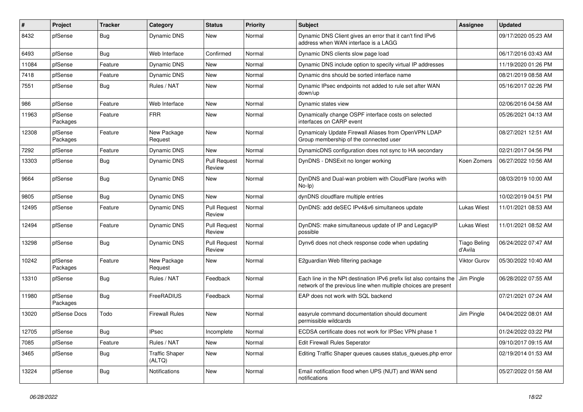| ∦     | Project             | <b>Tracker</b> | Category                        | <b>Status</b>                 | <b>Priority</b> | <b>Subject</b>                                                                                                                        | Assignee                       | <b>Updated</b>      |
|-------|---------------------|----------------|---------------------------------|-------------------------------|-----------------|---------------------------------------------------------------------------------------------------------------------------------------|--------------------------------|---------------------|
| 8432  | pfSense             | <b>Bug</b>     | Dynamic DNS                     | New                           | Normal          | Dynamic DNS Client gives an error that it can't find IPv6<br>address when WAN interface is a LAGG                                     |                                | 09/17/2020 05:23 AM |
| 6493  | pfSense             | Bug            | Web Interface                   | Confirmed                     | Normal          | Dynamic DNS clients slow page load                                                                                                    |                                | 06/17/2016 03:43 AM |
| 11084 | pfSense             | Feature        | Dynamic DNS                     | New                           | Normal          | Dynamic DNS include option to specify virtual IP addresses                                                                            |                                | 11/19/2020 01:26 PM |
| 7418  | pfSense             | Feature        | <b>Dynamic DNS</b>              | <b>New</b>                    | Normal          | Dynamic dns should be sorted interface name                                                                                           |                                | 08/21/2019 08:58 AM |
| 7551  | pfSense             | <b>Bug</b>     | Rules / NAT                     | New                           | Normal          | Dynamic IPsec endpoints not added to rule set after WAN<br>down/up                                                                    |                                | 05/16/2017 02:26 PM |
| 986   | pfSense             | Feature        | Web Interface                   | New                           | Normal          | Dynamic states view                                                                                                                   |                                | 02/06/2016 04:58 AM |
| 11963 | pfSense<br>Packages | Feature        | <b>FRR</b>                      | New                           | Normal          | Dynamically change OSPF interface costs on selected<br>interfaces on CARP event                                                       |                                | 05/26/2021 04:13 AM |
| 12308 | pfSense<br>Packages | Feature        | New Package<br>Request          | <b>New</b>                    | Normal          | Dynamicaly Update Firewall Aliases from OpenVPN LDAP<br>Group membership of the connected user                                        |                                | 08/27/2021 12:51 AM |
| 7292  | pfSense             | Feature        | Dynamic DNS                     | New                           | Normal          | DynamicDNS configuration does not sync to HA secondary                                                                                |                                | 02/21/2017 04:56 PM |
| 13303 | pfSense             | <b>Bug</b>     | Dynamic DNS                     | <b>Pull Request</b><br>Review | Normal          | DynDNS - DNSExit no longer working                                                                                                    | Koen Zomers                    | 06/27/2022 10:56 AM |
| 9664  | pfSense             | Bug            | Dynamic DNS                     | <b>New</b>                    | Normal          | DynDNS and Dual-wan problem with CloudFlare (works with<br>$No-Ip)$                                                                   |                                | 08/03/2019 10:00 AM |
| 9805  | pfSense             | <b>Bug</b>     | Dynamic DNS                     | <b>New</b>                    | Normal          | dynDNS cloudflare multiple entries                                                                                                    |                                | 10/02/2019 04:51 PM |
| 12495 | pfSense             | Feature        | <b>Dynamic DNS</b>              | <b>Pull Request</b><br>Review | Normal          | DynDNS: add deSEC IPv4&v6 simultaneos update                                                                                          | <b>Lukas Wiest</b>             | 11/01/2021 08:53 AM |
| 12494 | pfSense             | Feature        | <b>Dynamic DNS</b>              | <b>Pull Request</b><br>Review | Normal          | DynDNS: make simultaneous update of IP and LegacyIP<br>possible                                                                       | Lukas Wiest                    | 11/01/2021 08:52 AM |
| 13298 | pfSense             | <b>Bug</b>     | Dynamic DNS                     | <b>Pull Request</b><br>Review | Normal          | Dynv6 does not check response code when updating                                                                                      | <b>Tiago Beling</b><br>d'Avila | 06/24/2022 07:47 AM |
| 10242 | pfSense<br>Packages | Feature        | New Package<br>Request          | New                           | Normal          | E2guardian Web filtering package                                                                                                      | <b>Viktor Gurov</b>            | 05/30/2022 10:40 AM |
| 13310 | pfSense             | <b>Bug</b>     | Rules / NAT                     | Feedback                      | Normal          | Each line in the NPt destination IPv6 prefix list also contains the<br>network of the previous line when multiple choices are present | Jim Pingle                     | 06/28/2022 07:55 AM |
| 11980 | pfSense<br>Packages | Bug            | FreeRADIUS                      | Feedback                      | Normal          | EAP does not work with SQL backend                                                                                                    |                                | 07/21/2021 07:24 AM |
| 13020 | pfSense Docs        | Todo           | <b>Firewall Rules</b>           | <b>New</b>                    | Normal          | easyrule command documentation should document<br>permissible wildcards                                                               | Jim Pingle                     | 04/04/2022 08:01 AM |
| 12705 | pfSense             | Bug            | <b>IPsec</b>                    | Incomplete                    | Normal          | ECDSA certificate does not work for IPSec VPN phase 1                                                                                 |                                | 01/24/2022 03:22 PM |
| 7085  | pfSense             | Feature        | Rules / NAT                     | New                           | Normal          | Edit Firewall Rules Seperator                                                                                                         |                                | 09/10/2017 09:15 AM |
| 3465  | pfSense             | <b>Bug</b>     | <b>Traffic Shaper</b><br>(ALTQ) | New                           | Normal          | Editing Traffic Shaper queues causes status queues.php error                                                                          |                                | 02/19/2014 01:53 AM |
| 13224 | pfSense             | <b>Bug</b>     | Notifications                   | New                           | Normal          | Email notification flood when UPS (NUT) and WAN send<br>notifications                                                                 |                                | 05/27/2022 01:58 AM |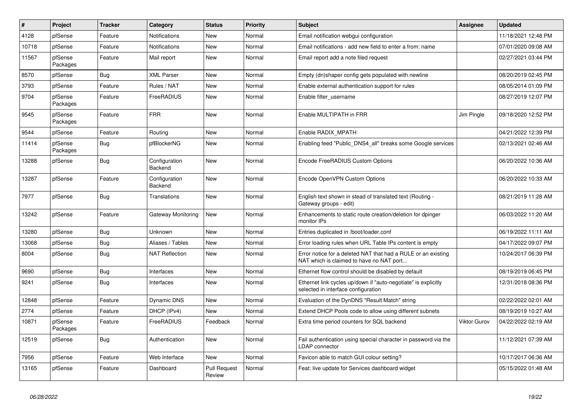| ∦     | Project             | <b>Tracker</b> | Category                 | <b>Status</b>                 | <b>Priority</b> | <b>Subject</b>                                                                                            | <b>Assignee</b> | <b>Updated</b>      |
|-------|---------------------|----------------|--------------------------|-------------------------------|-----------------|-----------------------------------------------------------------------------------------------------------|-----------------|---------------------|
| 4128  | pfSense             | Feature        | <b>Notifications</b>     | <b>New</b>                    | Normal          | Email notification webgui configuration                                                                   |                 | 11/18/2021 12:48 PM |
| 10718 | pfSense             | Feature        | <b>Notifications</b>     | <b>New</b>                    | Normal          | Email notifications - add new field to enter a from: name                                                 |                 | 07/01/2020 09:08 AM |
| 11567 | pfSense<br>Packages | Feature        | Mail report              | New                           | Normal          | Email report add a note filed request                                                                     |                 | 02/27/2021 03:44 PM |
| 8570  | pfSense             | Bug            | <b>XML Parser</b>        | New                           | Normal          | Empty (dn)shaper config gets populated with newline                                                       |                 | 08/20/2019 02:45 PM |
| 3793  | pfSense             | Feature        | Rules / NAT              | <b>New</b>                    | Normal          | Enable external authentication support for rules                                                          |                 | 08/05/2014 01:09 PM |
| 9704  | pfSense<br>Packages | Feature        | FreeRADIUS               | <b>New</b>                    | Normal          | Enable filter username                                                                                    |                 | 08/27/2019 12:07 PM |
| 9545  | pfSense<br>Packages | Feature        | <b>FRR</b>               | <b>New</b>                    | Normal          | Enable MULTIPATH in FRR                                                                                   | Jim Pingle      | 09/18/2020 12:52 PM |
| 9544  | pfSense             | Feature        | Routing                  | <b>New</b>                    | Normal          | Enable RADIX MPATH                                                                                        |                 | 04/21/2022 12:39 PM |
| 11414 | pfSense<br>Packages | <b>Bug</b>     | pfBlockerNG              | New                           | Normal          | Enabling feed "Public DNS4 all" breaks some Google services                                               |                 | 02/13/2021 02:46 AM |
| 13288 | pfSense             | Bug            | Configuration<br>Backend | New                           | Normal          | Encode FreeRADIUS Custom Options                                                                          |                 | 06/20/2022 10:36 AM |
| 13287 | pfSense             | Feature        | Configuration<br>Backend | New                           | Normal          | Encode OpenVPN Custom Options                                                                             |                 | 06/20/2022 10:33 AM |
| 7977  | pfSense             | <b>Bug</b>     | Translations             | <b>New</b>                    | Normal          | English text shown in stead of translated text (Routing -<br>Gateway groups - edit)                       |                 | 08/21/2019 11:28 AM |
| 13242 | pfSense             | Feature        | Gateway Monitoring       | New                           | Normal          | Enhancements to static route creation/deletion for dpinger<br>monitor IPs                                 |                 | 06/03/2022 11:20 AM |
| 13280 | pfSense             | Bug            | Unknown                  | <b>New</b>                    | Normal          | Entries duplicated in /boot/loader.conf                                                                   |                 | 06/19/2022 11:11 AM |
| 13068 | pfSense             | <b>Bug</b>     | Aliases / Tables         | <b>New</b>                    | Normal          | Error loading rules when URL Table IPs content is empty                                                   |                 | 04/17/2022 09:07 PM |
| 8004  | pfSense             | <b>Bug</b>     | <b>NAT Reflection</b>    | <b>New</b>                    | Normal          | Error notice for a deleted NAT that had a RULE or an existing<br>NAT which is claimed to have no NAT port |                 | 10/24/2017 06:39 PM |
| 9690  | pfSense             | Bug            | Interfaces               | <b>New</b>                    | Normal          | Ethernet flow control should be disabled by default                                                       |                 | 08/19/2019 06:45 PM |
| 9241  | pfSense             | <b>Bug</b>     | Interfaces               | <b>New</b>                    | Normal          | Ethernet link cycles up/down if "auto-negotiate" is explicitly<br>selected in interface configuration     |                 | 12/31/2018 08:36 PM |
| 12848 | pfSense             | Feature        | Dynamic DNS              | <b>New</b>                    | Normal          | Evaluation of the DynDNS "Result Match" string                                                            |                 | 02/22/2022 02:01 AM |
| 2774  | pfSense             | Feature        | DHCP (IPv4)              | <b>New</b>                    | Normal          | Extend DHCP Pools code to allow using different subnets                                                   |                 | 08/19/2019 10:27 AM |
| 10871 | pfSense<br>Packages | Feature        | FreeRADIUS               | Feedback                      | Normal          | Extra time period counters for SQL backend                                                                | Viktor Gurov    | 04/22/2022 02:19 AM |
| 12519 | pfSense             | <b>Bug</b>     | Authentication           | <b>New</b>                    | Normal          | Fail authentication using special character in password via the<br>LDAP connector                         |                 | 11/12/2021 07:39 AM |
| 7956  | pfSense             | Feature        | Web Interface            | <b>New</b>                    | Normal          | Favicon able to match GUI colour setting?                                                                 |                 | 10/17/2017 06:36 AM |
| 13165 | pfSense             | Feature        | Dashboard                | <b>Pull Request</b><br>Review | Normal          | Feat: live update for Services dashboard widget                                                           |                 | 05/15/2022 01:48 AM |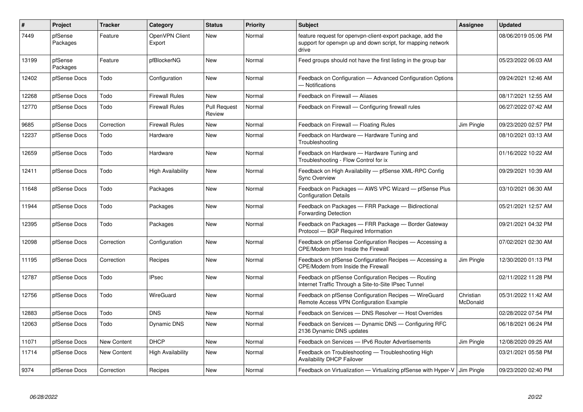| $\sharp$ | Project             | <b>Tracker</b> | Category                 | <b>Status</b>                 | <b>Priority</b> | <b>Subject</b>                                                                                                                     | <b>Assignee</b>       | <b>Updated</b>      |
|----------|---------------------|----------------|--------------------------|-------------------------------|-----------------|------------------------------------------------------------------------------------------------------------------------------------|-----------------------|---------------------|
| 7449     | pfSense<br>Packages | Feature        | OpenVPN Client<br>Export | <b>New</b>                    | Normal          | feature request for openypn-client-export package, add the<br>support for openypn up and down script, for mapping network<br>drive |                       | 08/06/2019 05:06 PM |
| 13199    | pfSense<br>Packages | Feature        | pfBlockerNG              | <b>New</b>                    | Normal          | Feed groups should not have the first listing in the group bar                                                                     |                       | 05/23/2022 06:03 AM |
| 12402    | pfSense Docs        | Todo           | Configuration            | <b>New</b>                    | Normal          | Feedback on Configuration - Advanced Configuration Options<br>- Notifications                                                      |                       | 09/24/2021 12:46 AM |
| 12268    | pfSense Docs        | Todo           | <b>Firewall Rules</b>    | New                           | Normal          | Feedback on Firewall - Aliases                                                                                                     |                       | 08/17/2021 12:55 AM |
| 12770    | pfSense Docs        | Todo           | <b>Firewall Rules</b>    | <b>Pull Request</b><br>Review | Normal          | Feedback on Firewall - Configuring firewall rules                                                                                  |                       | 06/27/2022 07:42 AM |
| 9685     | pfSense Docs        | Correction     | <b>Firewall Rules</b>    | <b>New</b>                    | Normal          | Feedback on Firewall - Floating Rules                                                                                              | Jim Pingle            | 09/23/2020 02:57 PM |
| 12237    | pfSense Docs        | Todo           | Hardware                 | <b>New</b>                    | Normal          | Feedback on Hardware - Hardware Tuning and<br>Troubleshooting                                                                      |                       | 08/10/2021 03:13 AM |
| 12659    | pfSense Docs        | Todo           | Hardware                 | <b>New</b>                    | Normal          | Feedback on Hardware - Hardware Tuning and<br>Troubleshooting - Flow Control for ix                                                |                       | 01/16/2022 10:22 AM |
| 12411    | pfSense Docs        | Todo           | <b>High Availability</b> | <b>New</b>                    | Normal          | Feedback on High Availability - pfSense XML-RPC Config<br><b>Sync Overview</b>                                                     |                       | 09/29/2021 10:39 AM |
| 11648    | pfSense Docs        | Todo           | Packages                 | <b>New</b>                    | Normal          | Feedback on Packages - AWS VPC Wizard - pfSense Plus<br><b>Configuration Details</b>                                               |                       | 03/10/2021 06:30 AM |
| 11944    | pfSense Docs        | Todo           | Packages                 | <b>New</b>                    | Normal          | Feedback on Packages - FRR Package - Bidirectional<br><b>Forwarding Detection</b>                                                  |                       | 05/21/2021 12:57 AM |
| 12395    | pfSense Docs        | Todo           | Packages                 | <b>New</b>                    | Normal          | Feedback on Packages - FRR Package - Border Gateway<br>Protocol - BGP Required Information                                         |                       | 09/21/2021 04:32 PM |
| 12098    | pfSense Docs        | Correction     | Configuration            | <b>New</b>                    | Normal          | Feedback on pfSense Configuration Recipes - Accessing a<br>CPE/Modem from Inside the Firewall                                      |                       | 07/02/2021 02:30 AM |
| 11195    | pfSense Docs        | Correction     | Recipes                  | <b>New</b>                    | Normal          | Feedback on pfSense Configuration Recipes - Accessing a<br>CPE/Modem from Inside the Firewall                                      | Jim Pingle            | 12/30/2020 01:13 PM |
| 12787    | pfSense Docs        | Todo           | <b>IPsec</b>             | <b>New</b>                    | Normal          | Feedback on pfSense Configuration Recipes - Routing<br>Internet Traffic Through a Site-to-Site IPsec Tunnel                        |                       | 02/11/2022 11:28 PM |
| 12756    | pfSense Docs        | Todo           | WireGuard                | <b>New</b>                    | Normal          | Feedback on pfSense Configuration Recipes - WireGuard<br>Remote Access VPN Configuration Example                                   | Christian<br>McDonald | 05/31/2022 11:42 AM |
| 12883    | pfSense Docs        | Todo           | <b>DNS</b>               | New                           | Normal          | Feedback on Services - DNS Resolver - Host Overrides                                                                               |                       | 02/28/2022 07:54 PM |
| 12063    | pfSense Docs        | Todo           | Dynamic DNS              | <b>New</b>                    | Normal          | Feedback on Services - Dynamic DNS - Configuring RFC<br>2136 Dynamic DNS updates                                                   |                       | 06/18/2021 06:24 PM |
| 11071    | pfSense Docs        | New Content    | <b>DHCP</b>              | <b>New</b>                    | Normal          | Feedback on Services - IPv6 Router Advertisements                                                                                  | Jim Pingle            | 12/08/2020 09:25 AM |
| 11714    | pfSense Docs        | New Content    | <b>High Availability</b> | <b>New</b>                    | Normal          | Feedback on Troubleshooting - Troubleshooting High<br><b>Availability DHCP Failover</b>                                            |                       | 03/21/2021 05:58 PM |
| 9374     | pfSense Docs        | Correction     | Recipes                  | New                           | Normal          | Feedback on Virtualization — Virtualizing pfSense with Hyper-V   Jim Pingle                                                        |                       | 09/23/2020 02:40 PM |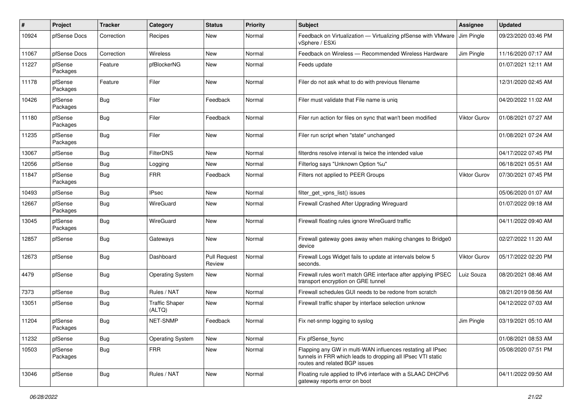| ∦     | Project             | <b>Tracker</b> | Category                        | <b>Status</b>                 | <b>Priority</b> | <b>Subject</b>                                                                                                                                              | <b>Assignee</b> | <b>Updated</b>      |
|-------|---------------------|----------------|---------------------------------|-------------------------------|-----------------|-------------------------------------------------------------------------------------------------------------------------------------------------------------|-----------------|---------------------|
| 10924 | pfSense Docs        | Correction     | Recipes                         | New                           | Normal          | Feedback on Virtualization - Virtualizing pfSense with VMware<br>vSphere / ESXi                                                                             | Jim Pingle      | 09/23/2020 03:46 PM |
| 11067 | pfSense Docs        | Correction     | Wireless                        | New                           | Normal          | Feedback on Wireless — Recommended Wireless Hardware                                                                                                        | Jim Pingle      | 11/16/2020 07:17 AM |
| 11227 | pfSense<br>Packages | Feature        | pfBlockerNG                     | New                           | Normal          | Feeds update                                                                                                                                                |                 | 01/07/2021 12:11 AM |
| 11178 | pfSense<br>Packages | Feature        | Filer                           | New                           | Normal          | Filer do not ask what to do with previous filename                                                                                                          |                 | 12/31/2020 02:45 AM |
| 10426 | pfSense<br>Packages | Bug            | Filer                           | Feedback                      | Normal          | Filer must validate that File name is unig                                                                                                                  |                 | 04/20/2022 11:02 AM |
| 11180 | pfSense<br>Packages | <b>Bug</b>     | Filer                           | Feedback                      | Normal          | Filer run action for files on sync that wan't been modified                                                                                                 | Viktor Gurov    | 01/08/2021 07:27 AM |
| 11235 | pfSense<br>Packages | <b>Bug</b>     | Filer                           | New                           | Normal          | Filer run script when "state" unchanged                                                                                                                     |                 | 01/08/2021 07:24 AM |
| 13067 | pfSense             | <b>Bug</b>     | <b>FilterDNS</b>                | New                           | Normal          | filterdns resolve interval is twice the intended value                                                                                                      |                 | 04/17/2022 07:45 PM |
| 12056 | pfSense             | <b>Bug</b>     | Logging                         | New                           | Normal          | Filterlog says "Unknown Option %u"                                                                                                                          |                 | 06/18/2021 05:51 AM |
| 11847 | pfSense<br>Packages | <b>Bug</b>     | <b>FRR</b>                      | Feedback                      | Normal          | Filters not applied to PEER Groups                                                                                                                          | Viktor Gurov    | 07/30/2021 07:45 PM |
| 10493 | pfSense             | <b>Bug</b>     | <b>IPsec</b>                    | New                           | Normal          | filter_get_vpns_list() issues                                                                                                                               |                 | 05/06/2020 01:07 AM |
| 12667 | pfSense<br>Packages | Bug            | WireGuard                       | New                           | Normal          | Firewall Crashed After Upgrading Wireguard                                                                                                                  |                 | 01/07/2022 09:18 AM |
| 13045 | pfSense<br>Packages | <b>Bug</b>     | <b>WireGuard</b>                | <b>New</b>                    | Normal          | Firewall floating rules ignore WireGuard traffic                                                                                                            |                 | 04/11/2022 09:40 AM |
| 12857 | pfSense             | <b>Bug</b>     | Gateways                        | <b>New</b>                    | Normal          | Firewall gateway goes away when making changes to Bridge0<br>device                                                                                         |                 | 02/27/2022 11:20 AM |
| 12673 | pfSense             | <b>Bug</b>     | Dashboard                       | <b>Pull Request</b><br>Review | Normal          | Firewall Logs Widget fails to update at intervals below 5<br>seconds.                                                                                       | Viktor Gurov    | 05/17/2022 02:20 PM |
| 4479  | pfSense             | <b>Bug</b>     | <b>Operating System</b>         | New                           | Normal          | Firewall rules won't match GRE interface after applying IPSEC<br>transport encryption on GRE tunnel                                                         | Luiz Souza      | 08/20/2021 08:46 AM |
| 7373  | pfSense             | <b>Bug</b>     | Rules / NAT                     | New                           | Normal          | Firewall schedules GUI needs to be redone from scratch                                                                                                      |                 | 08/21/2019 08:56 AM |
| 13051 | pfSense             | <b>Bug</b>     | <b>Traffic Shaper</b><br>(ALTQ) | New                           | Normal          | Firewall traffic shaper by interface selection unknow                                                                                                       |                 | 04/12/2022 07:03 AM |
| 11204 | pfSense<br>Packages | Bug            | NET-SNMP                        | Feedback                      | Normal          | Fix net-snmp logging to syslog                                                                                                                              | Jim Pingle      | 03/19/2021 05:10 AM |
| 11232 | pfSense             | Bug            | <b>Operating System</b>         | New                           | Normal          | Fix pfSense fsync                                                                                                                                           |                 | 01/08/2021 08:53 AM |
| 10503 | pfSense<br>Packages | <b>Bug</b>     | <b>FRR</b>                      | New                           | Normal          | Flapping any GW in multi-WAN influences restating all IPsec<br>tunnels in FRR which leads to dropping all IPsec VTI static<br>routes and related BGP issues |                 | 05/08/2020 07:51 PM |
| 13046 | pfSense             | <b>Bug</b>     | Rules / NAT                     | New                           | Normal          | Floating rule applied to IPv6 interface with a SLAAC DHCPv6<br>gateway reports error on boot                                                                |                 | 04/11/2022 09:50 AM |